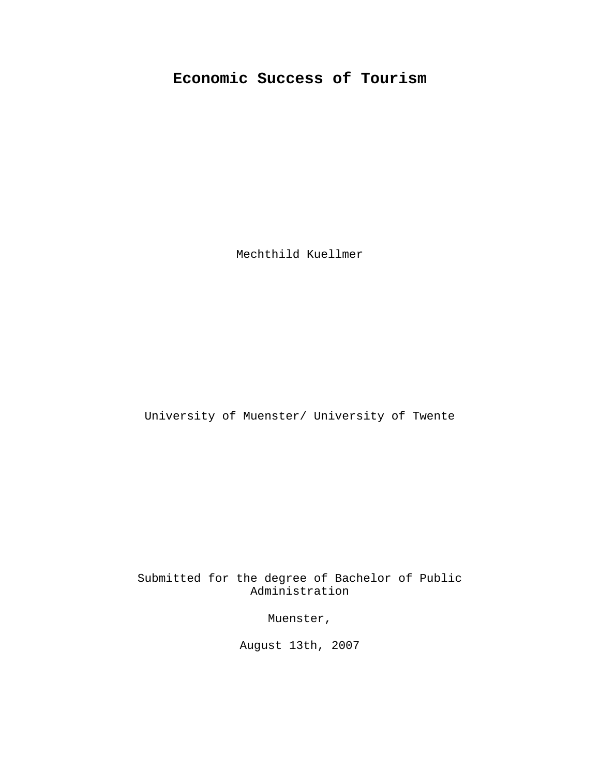# **Economic Success of Tourism**

Mechthild Kuellmer

University of Muenster/ University of Twente

Submitted for the degree of Bachelor of Public Administration

Muenster,

August 13th, 2007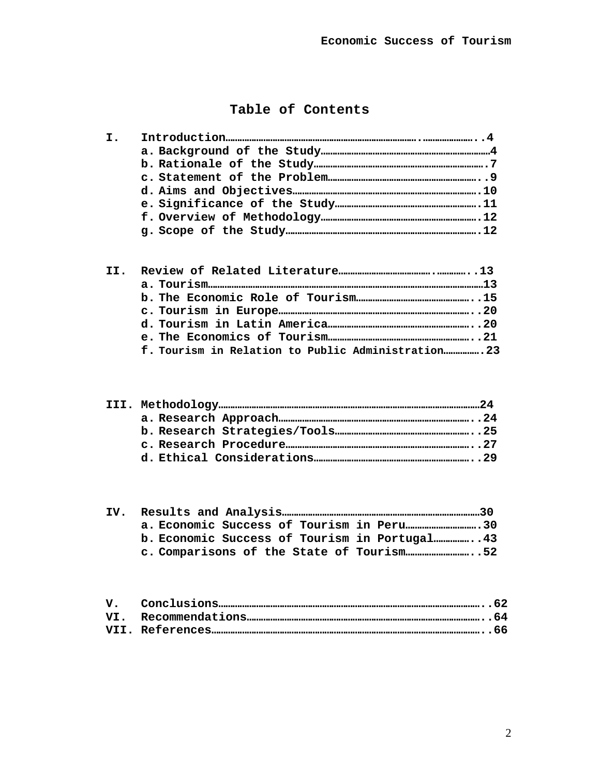# **Table of Contents**

|  | f. Tourism in Relation to Public Administration 23 |
|--|----------------------------------------------------|

| b. Economic Success of Tourism in Portugal 43 |  |
|-----------------------------------------------|--|
|                                               |  |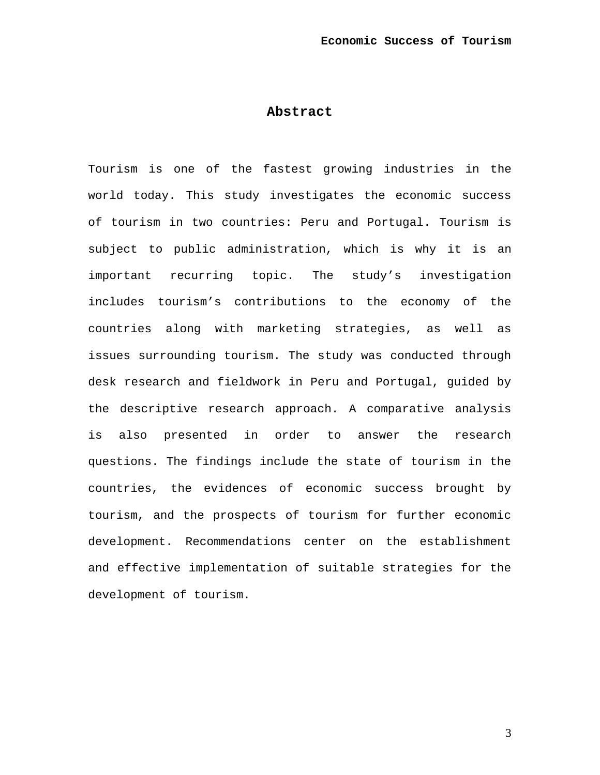## **Abstract**

Tourism is one of the fastest growing industries in the world today. This study investigates the economic success of tourism in two countries: Peru and Portugal. Tourism is subject to public administration, which is why it is an important recurring topic. The study's investigation includes tourism's contributions to the economy of the countries along with marketing strategies, as well as issues surrounding tourism. The study was conducted through desk research and fieldwork in Peru and Portugal, guided by the descriptive research approach. A comparative analysis is also presented in order to answer the research questions. The findings include the state of tourism in the countries, the evidences of economic success brought by tourism, and the prospects of tourism for further economic development. Recommendations center on the establishment and effective implementation of suitable strategies for the development of tourism.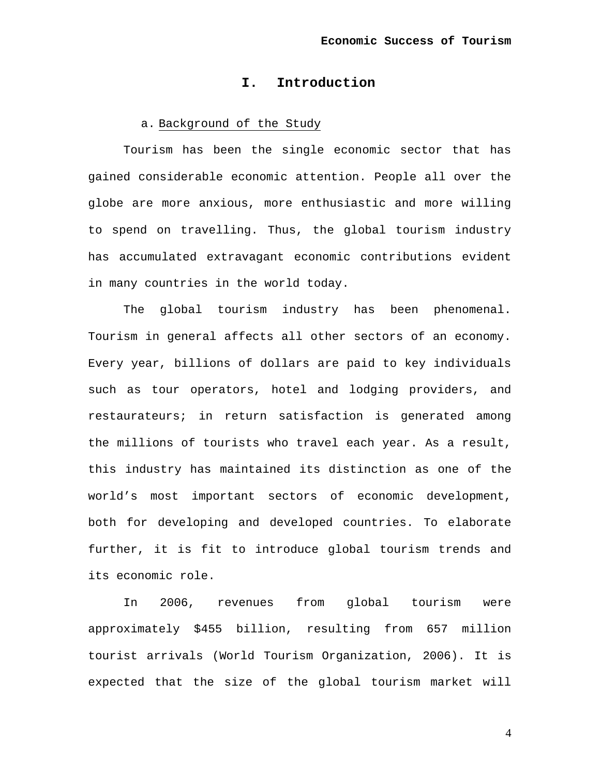# **I. Introduction**

## a. Background of the Study

Tourism has been the single economic sector that has gained considerable economic attention. People all over the globe are more anxious, more enthusiastic and more willing to spend on travelling. Thus, the global tourism industry has accumulated extravagant economic contributions evident in many countries in the world today.

The global tourism industry has been phenomenal. Tourism in general affects all other sectors of an economy. Every year, billions of dollars are paid to key individuals such as tour operators, hotel and lodging providers, and restaurateurs; in return satisfaction is generated among the millions of tourists who travel each year. As a result, this industry has maintained its distinction as one of the world's most important sectors of economic development, both for developing and developed countries. To elaborate further, it is fit to introduce global tourism trends and its economic role.

In 2006, revenues from global tourism were approximately \$455 billion, resulting from 657 million tourist arrivals (World Tourism Organization, 2006). It is expected that the size of the global tourism market will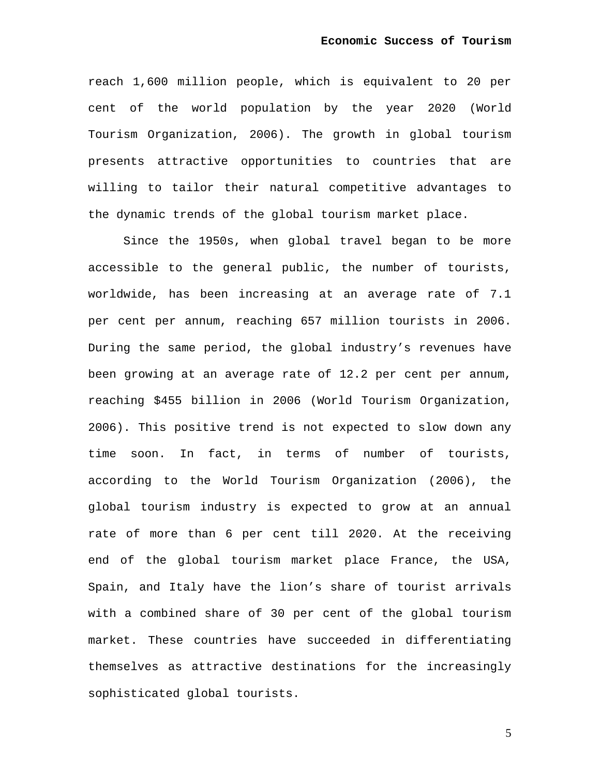reach 1,600 million people, which is equivalent to 20 per cent of the world population by the year 2020 (World Tourism Organization, 2006). The growth in global tourism presents attractive opportunities to countries that are willing to tailor their natural competitive advantages to the dynamic trends of the global tourism market place.

Since the 1950s, when global travel began to be more accessible to the general public, the number of tourists, worldwide, has been increasing at an average rate of 7.1 per cent per annum, reaching 657 million tourists in 2006. During the same period, the global industry's revenues have been growing at an average rate of 12.2 per cent per annum, reaching \$455 billion in 2006 (World Tourism Organization, 2006). This positive trend is not expected to slow down any time soon. In fact, in terms of number of tourists, according to the World Tourism Organization (2006), the global tourism industry is expected to grow at an annual rate of more than 6 per cent till 2020. At the receiving end of the global tourism market place France, the USA, Spain, and Italy have the lion's share of tourist arrivals with a combined share of 30 per cent of the global tourism market. These countries have succeeded in differentiating themselves as attractive destinations for the increasingly sophisticated global tourists.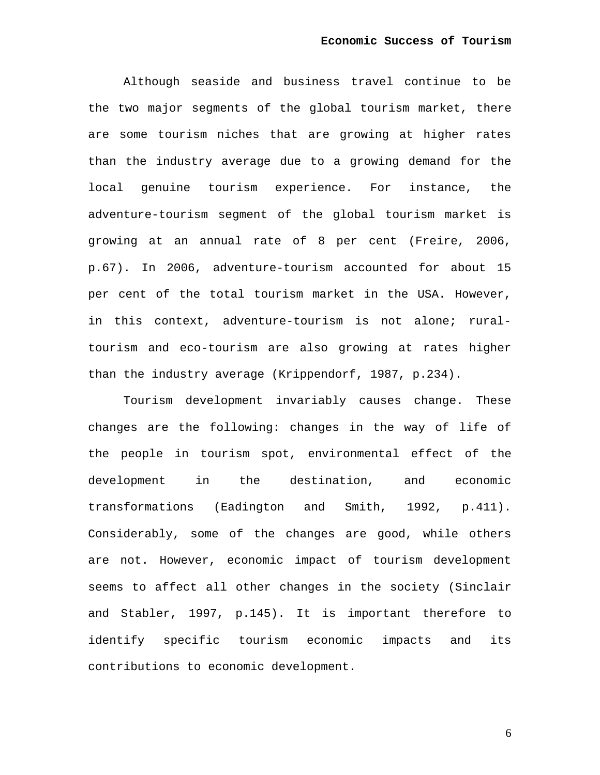Although seaside and business travel continue to be the two major segments of the global tourism market, there are some tourism niches that are growing at higher rates than the industry average due to a growing demand for the local genuine tourism experience. For instance, the adventure-tourism segment of the global tourism market is growing at an annual rate of 8 per cent (Freire, 2006, p.67). In 2006, adventure-tourism accounted for about 15 per cent of the total tourism market in the USA. However, in this context, adventure-tourism is not alone; ruraltourism and eco-tourism are also growing at rates higher than the industry average (Krippendorf, 1987, p.234).

Tourism development invariably causes change. These changes are the following: changes in the way of life of the people in tourism spot, environmental effect of the development in the destination, and economic transformations (Eadington and Smith, 1992, p.411). Considerably, some of the changes are good, while others are not. However, economic impact of tourism development seems to affect all other changes in the society (Sinclair and Stabler, 1997, p.145). It is important therefore to identify specific tourism economic impacts and its contributions to economic development.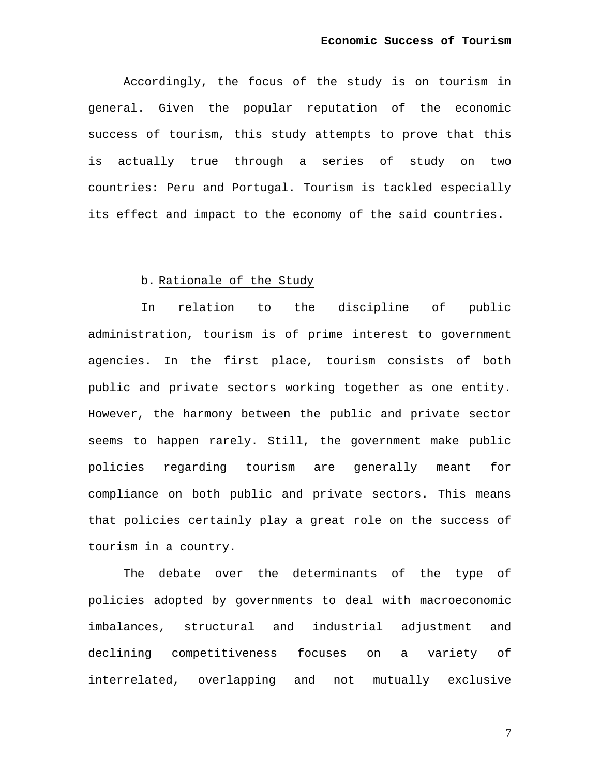Accordingly, the focus of the study is on tourism in general. Given the popular reputation of the economic success of tourism, this study attempts to prove that this is actually true through a series of study on two countries: Peru and Portugal. Tourism is tackled especially its effect and impact to the economy of the said countries.

## b. Rationale of the Study

In relation to the discipline of public administration, tourism is of prime interest to government agencies. In the first place, tourism consists of both public and private sectors working together as one entity. However, the harmony between the public and private sector seems to happen rarely. Still, the government make public policies regarding tourism are generally meant for compliance on both public and private sectors. This means that policies certainly play a great role on the success of tourism in a country.

The debate over the determinants of the type of policies adopted by governments to deal with macroeconomic imbalances, structural and industrial adjustment and declining competitiveness focuses on a variety of interrelated, overlapping and not mutually exclusive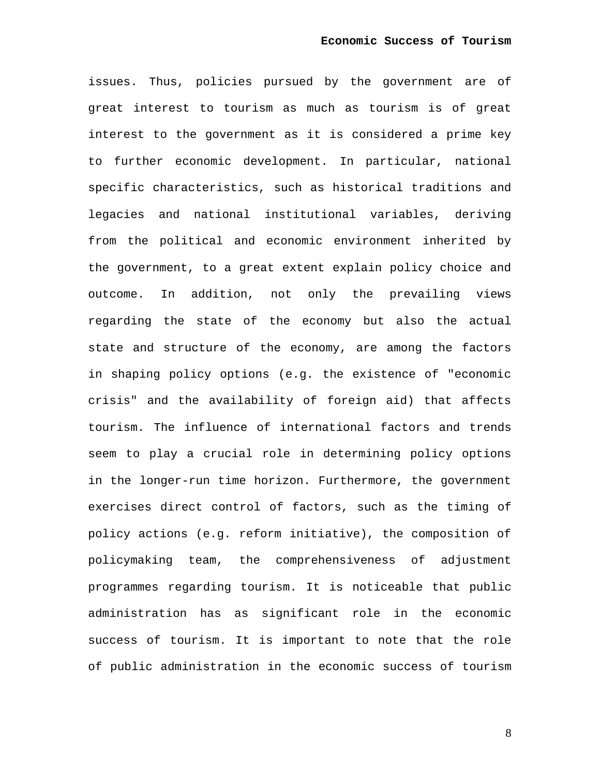issues. Thus, policies pursued by the government are of great interest to tourism as much as tourism is of great interest to the government as it is considered a prime key to further economic development. In particular, national specific characteristics, such as historical traditions and legacies and national institutional variables, deriving from the political and economic environment inherited by the government, to a great extent explain policy choice and outcome. In addition, not only the prevailing views regarding the state of the economy but also the actual state and structure of the economy, are among the factors in shaping policy options (e.g. the existence of "economic crisis" and the availability of foreign aid) that affects tourism. The influence of international factors and trends seem to play a crucial role in determining policy options in the longer-run time horizon. Furthermore, the government exercises direct control of factors, such as the timing of policy actions (e.g. reform initiative), the composition of policymaking team, the comprehensiveness of adjustment programmes regarding tourism. It is noticeable that public administration has as significant role in the economic success of tourism. It is important to note that the role of public administration in the economic success of tourism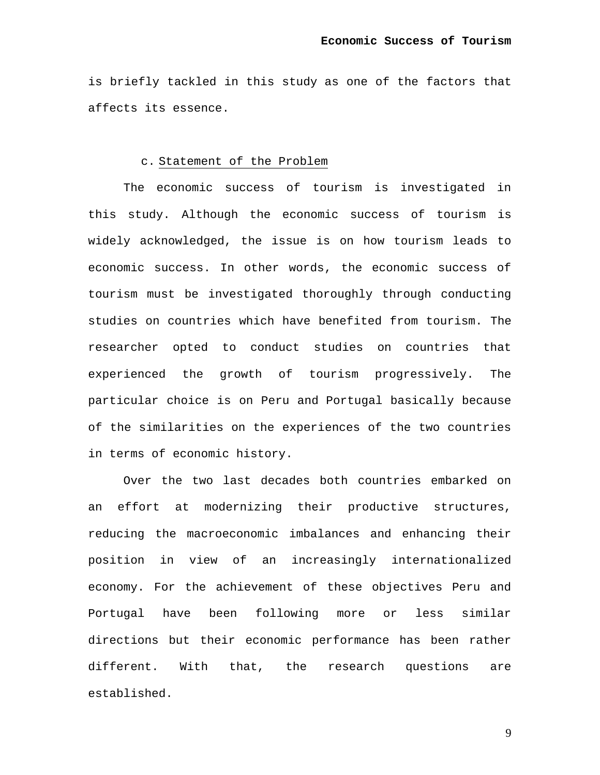is briefly tackled in this study as one of the factors that affects its essence.

## c. Statement of the Problem

The economic success of tourism is investigated in this study. Although the economic success of tourism is widely acknowledged, the issue is on how tourism leads to economic success. In other words, the economic success of tourism must be investigated thoroughly through conducting studies on countries which have benefited from tourism. The researcher opted to conduct studies on countries that experienced the growth of tourism progressively. The particular choice is on Peru and Portugal basically because of the similarities on the experiences of the two countries in terms of economic history.

Over the two last decades both countries embarked on an effort at modernizing their productive structures, reducing the macroeconomic imbalances and enhancing their position in view of an increasingly internationalized economy. For the achievement of these objectives Peru and Portugal have been following more or less similar directions but their economic performance has been rather different. With that, the research questions are established.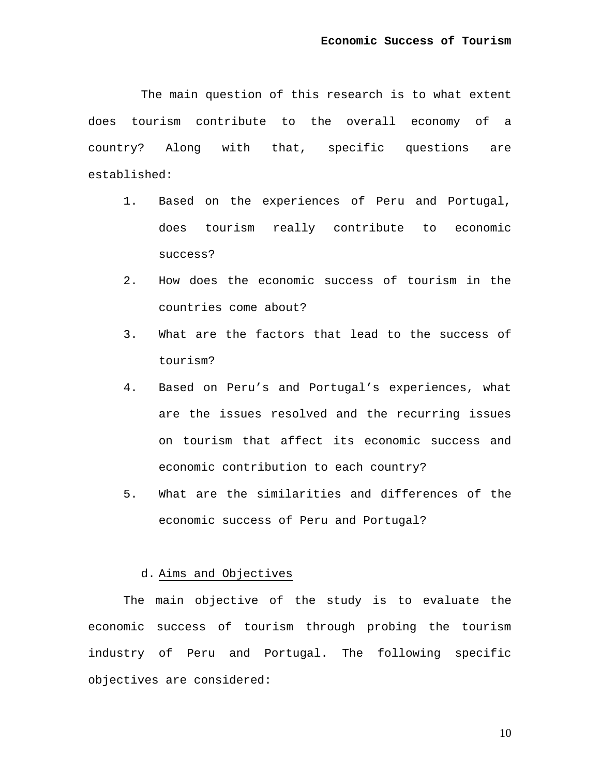The main question of this research is to what extent does tourism contribute to the overall economy of a country? Along with that, specific questions are established:

- 1. Based on the experiences of Peru and Portugal, does tourism really contribute to economic success?
- 2. How does the economic success of tourism in the countries come about?
- 3. What are the factors that lead to the success of tourism?
- 4. Based on Peru's and Portugal's experiences, what are the issues resolved and the recurring issues on tourism that affect its economic success and economic contribution to each country?
- 5. What are the similarities and differences of the economic success of Peru and Portugal?

### d. Aims and Objectives

The main objective of the study is to evaluate the economic success of tourism through probing the tourism industry of Peru and Portugal. The following specific objectives are considered: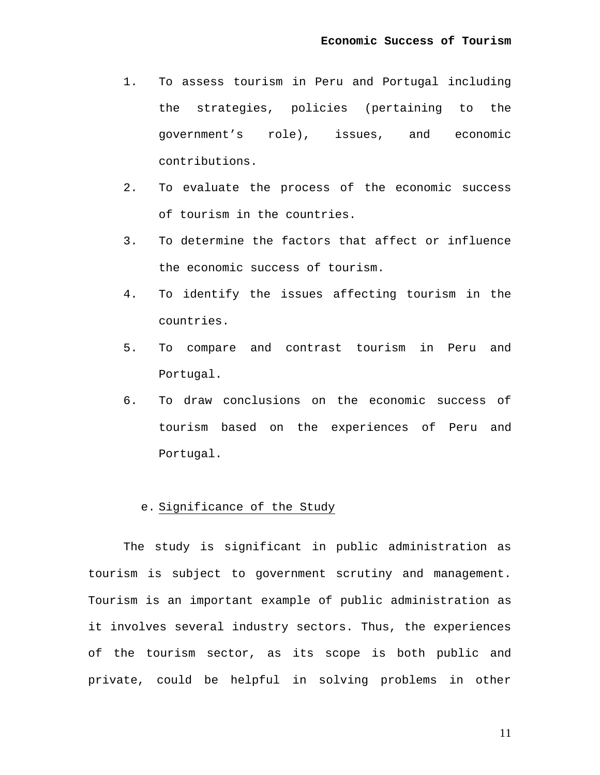- 1. To assess tourism in Peru and Portugal including the strategies, policies (pertaining to the government's role), issues, and economic contributions.
- 2. To evaluate the process of the economic success of tourism in the countries.
- 3. To determine the factors that affect or influence the economic success of tourism.
- 4. To identify the issues affecting tourism in the countries.
- 5. To compare and contrast tourism in Peru and Portugal.
- 6. To draw conclusions on the economic success of tourism based on the experiences of Peru and Portugal.

## e. Significance of the Study

The study is significant in public administration as tourism is subject to government scrutiny and management. Tourism is an important example of public administration as it involves several industry sectors. Thus, the experiences of the tourism sector, as its scope is both public and private, could be helpful in solving problems in other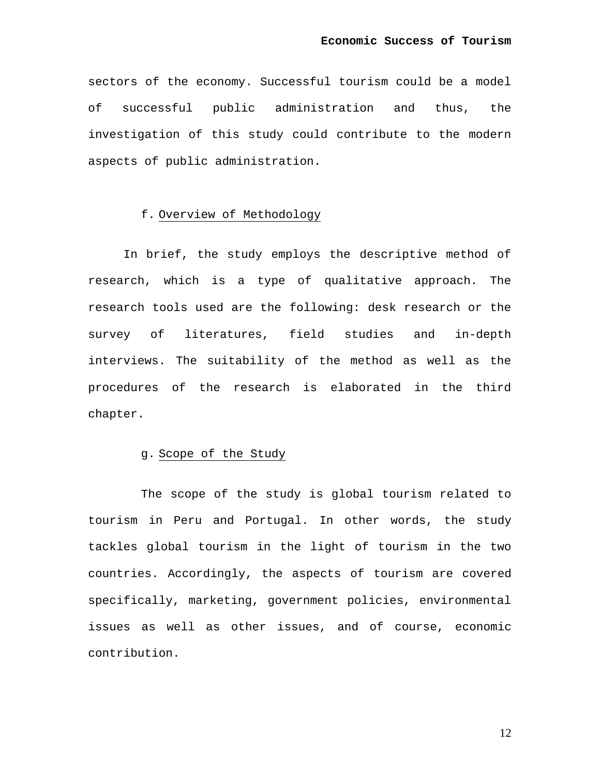sectors of the economy. Successful tourism could be a model of successful public administration and thus, the investigation of this study could contribute to the modern aspects of public administration.

### f. Overview of Methodology

In brief, the study employs the descriptive method of research, which is a type of qualitative approach. The research tools used are the following: desk research or the survey of literatures, field studies and in-depth interviews. The suitability of the method as well as the procedures of the research is elaborated in the third chapter.

### g. Scope of the Study

The scope of the study is global tourism related to tourism in Peru and Portugal. In other words, the study tackles global tourism in the light of tourism in the two countries. Accordingly, the aspects of tourism are covered specifically, marketing, government policies, environmental issues as well as other issues, and of course, economic contribution.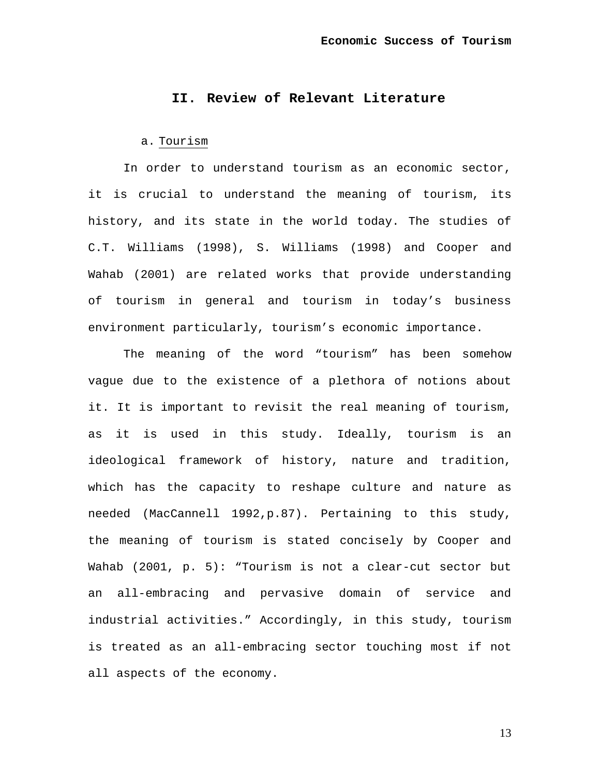# **II. Review of Relevant Literature**

### a. Tourism

In order to understand tourism as an economic sector, it is crucial to understand the meaning of tourism, its history, and its state in the world today. The studies of C.T. Williams (1998), S. Williams (1998) and Cooper and Wahab (2001) are related works that provide understanding of tourism in general and tourism in today's business environment particularly, tourism's economic importance.

The meaning of the word "tourism" has been somehow vague due to the existence of a plethora of notions about it. It is important to revisit the real meaning of tourism, as it is used in this study. Ideally, tourism is an ideological framework of history, nature and tradition, which has the capacity to reshape culture and nature as needed (MacCannell 1992,p.87). Pertaining to this study, the meaning of tourism is stated concisely by Cooper and Wahab (2001, p. 5): "Tourism is not a clear-cut sector but an all-embracing and pervasive domain of service and industrial activities." Accordingly, in this study, tourism is treated as an all-embracing sector touching most if not all aspects of the economy.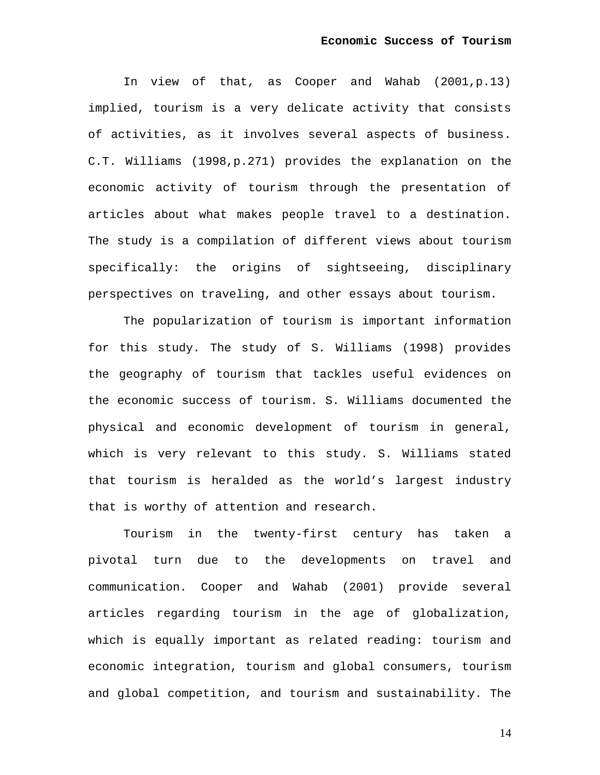In view of that, as Cooper and Wahab (2001,p.13) implied, tourism is a very delicate activity that consists of activities, as it involves several aspects of business. C.T. Williams (1998,p.271) provides the explanation on the economic activity of tourism through the presentation of articles about what makes people travel to a destination. The study is a compilation of different views about tourism specifically: the origins of sightseeing, disciplinary perspectives on traveling, and other essays about tourism.

The popularization of tourism is important information for this study. The study of S. Williams (1998) provides the geography of tourism that tackles useful evidences on the economic success of tourism. S. Williams documented the physical and economic development of tourism in general, which is very relevant to this study. S. Williams stated that tourism is heralded as the world's largest industry that is worthy of attention and research.

Tourism in the twenty-first century has taken a pivotal turn due to the developments on travel and communication. Cooper and Wahab (2001) provide several articles regarding tourism in the age of globalization, which is equally important as related reading: tourism and economic integration, tourism and global consumers, tourism and global competition, and tourism and sustainability. The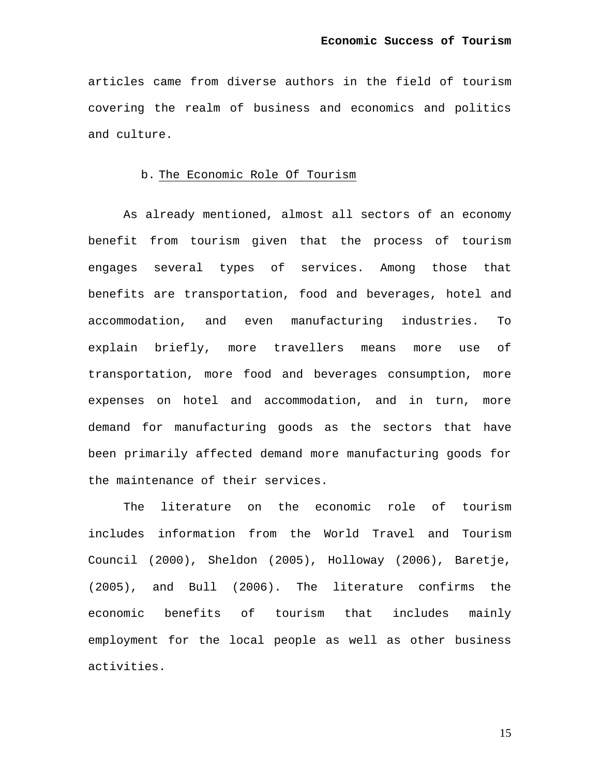articles came from diverse authors in the field of tourism covering the realm of business and economics and politics and culture.

## b. The Economic Role Of Tourism

As already mentioned, almost all sectors of an economy benefit from tourism given that the process of tourism engages several types of services. Among those that benefits are transportation, food and beverages, hotel and accommodation, and even manufacturing industries. To explain briefly, more travellers means more use of transportation, more food and beverages consumption, more expenses on hotel and accommodation, and in turn, more demand for manufacturing goods as the sectors that have been primarily affected demand more manufacturing goods for the maintenance of their services.

The literature on the economic role of tourism includes information from the World Travel and Tourism Council (2000), Sheldon (2005), Holloway (2006), Baretje, (2005), and Bull (2006). The literature confirms the economic benefits of tourism that includes mainly employment for the local people as well as other business activities.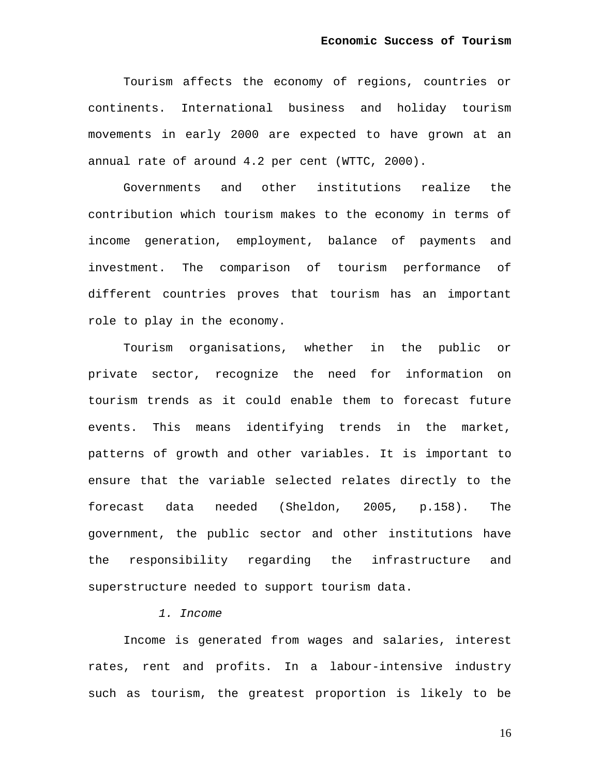Tourism affects the economy of regions, countries or continents. International business and holiday tourism movements in early 2000 are expected to have grown at an annual rate of around 4.2 per cent (WTTC, 2000).

Governments and other institutions realize the contribution which tourism makes to the economy in terms of income generation, employment, balance of payments and investment. The comparison of tourism performance of different countries proves that tourism has an important role to play in the economy.

Tourism organisations, whether in the public or private sector, recognize the need for information on tourism trends as it could enable them to forecast future events. This means identifying trends in the market, patterns of growth and other variables. It is important to ensure that the variable selected relates directly to the forecast data needed (Sheldon, 2005, p.158). The government, the public sector and other institutions have the responsibility regarding the infrastructure and superstructure needed to support tourism data.

## *1. Income*

Income is generated from wages and salaries, interest rates, rent and profits. In a labour-intensive industry such as tourism, the greatest proportion is likely to be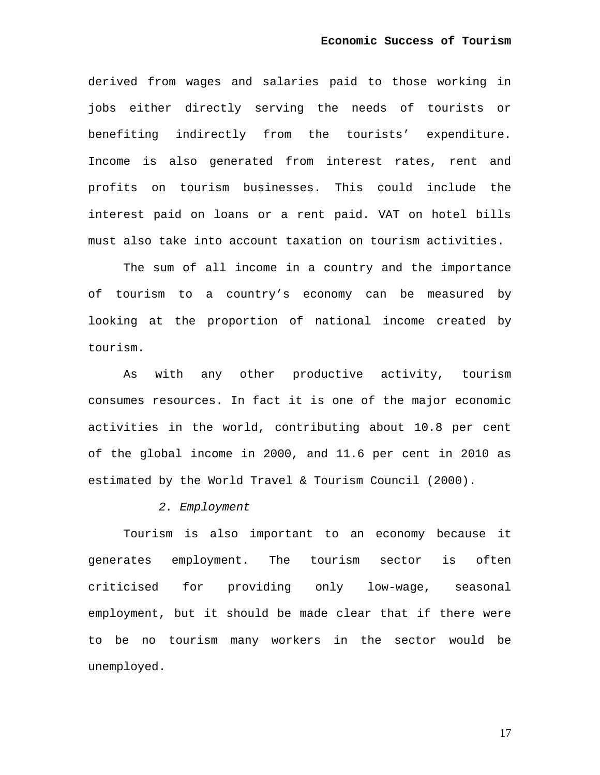derived from wages and salaries paid to those working in jobs either directly serving the needs of tourists or benefiting indirectly from the tourists' expenditure. Income is also generated from interest rates, rent and profits on tourism businesses. This could include the interest paid on loans or a rent paid. VAT on hotel bills must also take into account taxation on tourism activities.

The sum of all income in a country and the importance of tourism to a country's economy can be measured by looking at the proportion of national income created by tourism.

As with any other productive activity, tourism consumes resources. In fact it is one of the major economic activities in the world, contributing about 10.8 per cent of the global income in 2000, and 11.6 per cent in 2010 as estimated by the World Travel & Tourism Council (2000).

## *2. Employment*

Tourism is also important to an economy because it generates employment. The tourism sector is often criticised for providing only low-wage, seasonal employment, but it should be made clear that if there were to be no tourism many workers in the sector would be unemployed.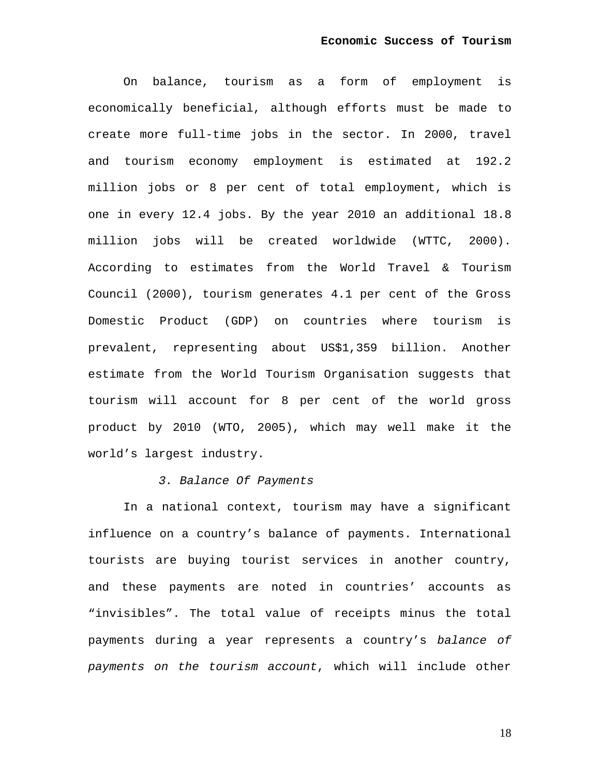On balance, tourism as a form of employment is economically beneficial, although efforts must be made to create more full-time jobs in the sector. In 2000, travel and tourism economy employment is estimated at 192.2 million jobs or 8 per cent of total employment, which is one in every 12.4 jobs. By the year 2010 an additional 18.8 million jobs will be created worldwide (WTTC, 2000). According to estimates from the World Travel & Tourism Council (2000), tourism generates 4.1 per cent of the Gross Domestic Product (GDP) on countries where tourism is prevalent, representing about US\$1,359 billion. Another estimate from the World Tourism Organisation suggests that tourism will account for 8 per cent of the world gross product by 2010 (WTO, 2005), which may well make it the world's largest industry.

## *3. Balance Of Payments*

In a national context, tourism may have a significant influence on a country's balance of payments. International tourists are buying tourist services in another country, and these payments are noted in countries' accounts as "invisibles". The total value of receipts minus the total payments during a year represents a country's *balance of payments on the tourism account*, which will include other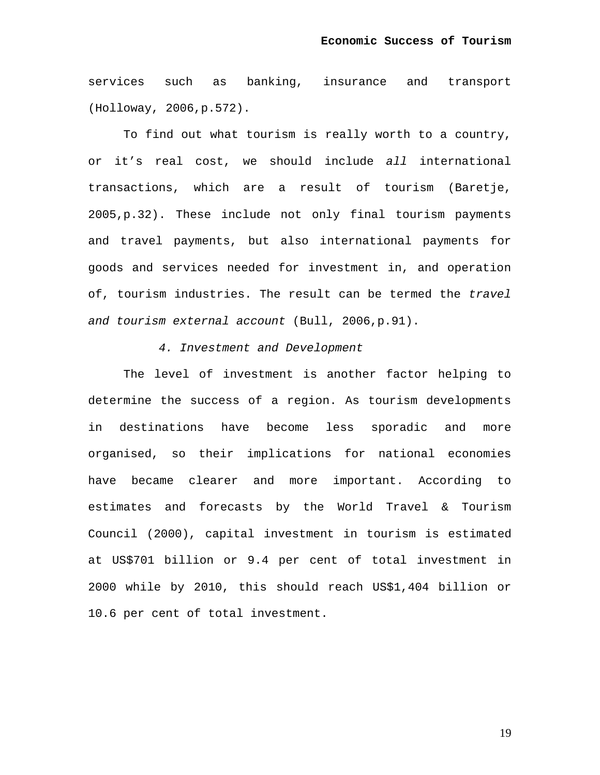services such as banking, insurance and transport (Holloway, 2006,p.572).

To find out what tourism is really worth to a country, or it's real cost, we should include *all* international transactions, which are a result of tourism (Baretje, 2005,p.32). These include not only final tourism payments and travel payments, but also international payments for goods and services needed for investment in, and operation of, tourism industries. The result can be termed the *travel and tourism external account* (Bull, 2006,p.91).

## *4. Investment and Development*

The level of investment is another factor helping to determine the success of a region. As tourism developments in destinations have become less sporadic and more organised, so their implications for national economies have became clearer and more important. According to estimates and forecasts by the World Travel & Tourism Council (2000), capital investment in tourism is estimated at US\$701 billion or 9.4 per cent of total investment in 2000 while by 2010, this should reach US\$1,404 billion or 10.6 per cent of total investment.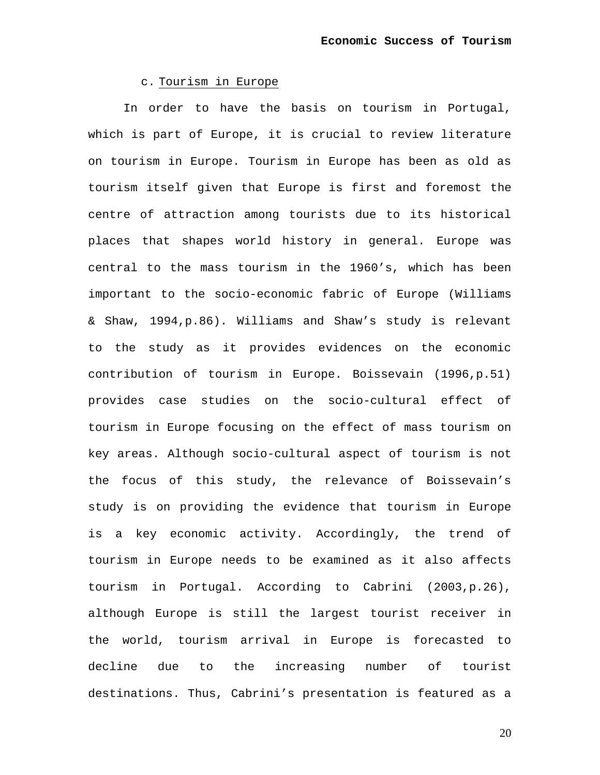c. Tourism in Europe

In order to have the basis on tourism in Portugal, which is part of Europe, it is crucial to review literature on tourism in Europe. Tourism in Europe has been as old as tourism itself given that Europe is first and foremost the centre of attraction among tourists due to its historical places that shapes world history in general. Europe was central to the mass tourism in the 1960's, which has been important to the socio-economic fabric of Europe (Williams & Shaw, 1994,p.86). Williams and Shaw's study is relevant to the study as it provides evidences on the economic contribution of tourism in Europe. Boissevain (1996,p.51) provides case studies on the socio-cultural effect of tourism in Europe focusing on the effect of mass tourism on key areas. Although socio-cultural aspect of tourism is not the focus of this study, the relevance of Boissevain's study is on providing the evidence that tourism in Europe is a key economic activity. Accordingly, the trend of tourism in Europe needs to be examined as it also affects tourism in Portugal. According to Cabrini (2003,p.26), although Europe is still the largest tourist receiver in the world, tourism arrival in Europe is forecasted to decline due to the increasing number of tourist destinations. Thus, Cabrini's presentation is featured as a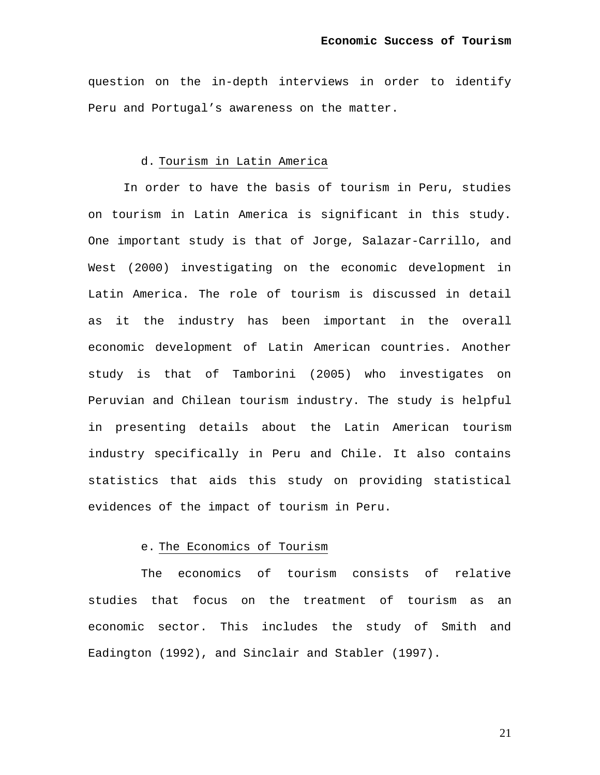question on the in-depth interviews in order to identify Peru and Portugal's awareness on the matter.

## d. Tourism in Latin America

In order to have the basis of tourism in Peru, studies on tourism in Latin America is significant in this study. One important study is that of Jorge, Salazar-Carrillo, and West (2000) investigating on the economic development in Latin America. The role of tourism is discussed in detail as it the industry has been important in the overall economic development of Latin American countries. Another study is that of Tamborini (2005) who investigates on Peruvian and Chilean tourism industry. The study is helpful in presenting details about the Latin American tourism industry specifically in Peru and Chile. It also contains statistics that aids this study on providing statistical evidences of the impact of tourism in Peru.

## e. The Economics of Tourism

The economics of tourism consists of relative studies that focus on the treatment of tourism as an economic sector. This includes the study of Smith and Eadington (1992), and Sinclair and Stabler (1997).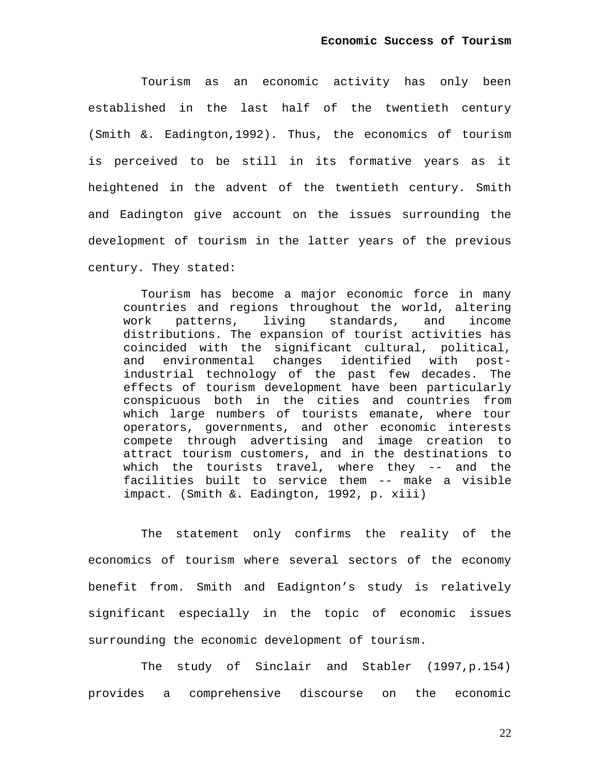Tourism as an economic activity has only been established in the last half of the twentieth century (Smith &. Eadington,1992). Thus, the economics of tourism is perceived to be still in its formative years as it heightened in the advent of the twentieth century. Smith and Eadington give account on the issues surrounding the development of tourism in the latter years of the previous century. They stated:

Tourism has become a major economic force in many countries and regions throughout the world, altering work patterns, living standards, and income distributions. The expansion of tourist activities has coincided with the significant cultural, political, and environmental changes identified with postindustrial technology of the past few decades. The effects of tourism development have been particularly conspicuous both in the cities and countries from which large numbers of tourists emanate, where tour operators, governments, and other economic interests compete through advertising and image creation to attract tourism customers, and in the destinations to which the tourists travel, where they -- and the facilities built to service them -- make a visible impact. (Smith &. Eadington, 1992, p. xiii)

The statement only confirms the reality of the economics of tourism where several sectors of the economy benefit from. Smith and Eadignton's study is relatively significant especially in the topic of economic issues surrounding the economic development of tourism.

The study of Sinclair and Stabler (1997,p.154) provides a comprehensive discourse on the economic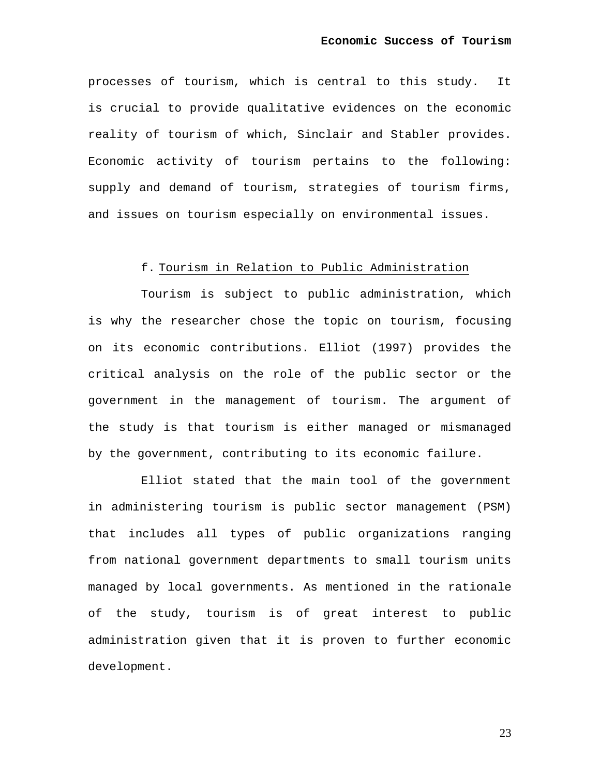processes of tourism, which is central to this study. It is crucial to provide qualitative evidences on the economic reality of tourism of which, Sinclair and Stabler provides. Economic activity of tourism pertains to the following: supply and demand of tourism, strategies of tourism firms, and issues on tourism especially on environmental issues.

### f. Tourism in Relation to Public Administration

Tourism is subject to public administration, which is why the researcher chose the topic on tourism, focusing on its economic contributions. Elliot (1997) provides the critical analysis on the role of the public sector or the government in the management of tourism. The argument of the study is that tourism is either managed or mismanaged by the government, contributing to its economic failure.

Elliot stated that the main tool of the government in administering tourism is public sector management (PSM) that includes all types of public organizations ranging from national government departments to small tourism units managed by local governments. As mentioned in the rationale of the study, tourism is of great interest to public administration given that it is proven to further economic development.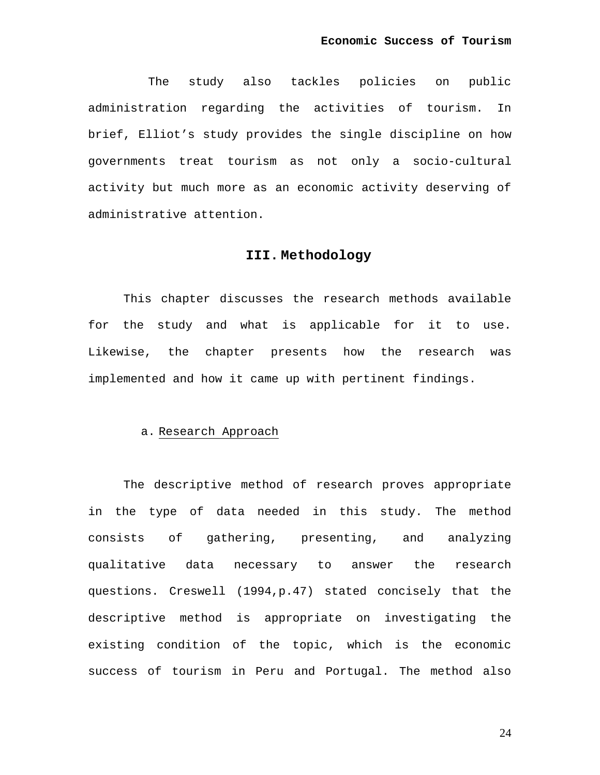The study also tackles policies on public administration regarding the activities of tourism. In brief, Elliot's study provides the single discipline on how governments treat tourism as not only a socio-cultural activity but much more as an economic activity deserving of administrative attention.

## **III. Methodology**

This chapter discusses the research methods available for the study and what is applicable for it to use. Likewise, the chapter presents how the research was implemented and how it came up with pertinent findings.

## a. Research Approach

The descriptive method of research proves appropriate in the type of data needed in this study. The method consists of gathering, presenting, and analyzing qualitative data necessary to answer the research questions. Creswell (1994,p.47) stated concisely that the descriptive method is appropriate on investigating the existing condition of the topic, which is the economic success of tourism in Peru and Portugal. The method also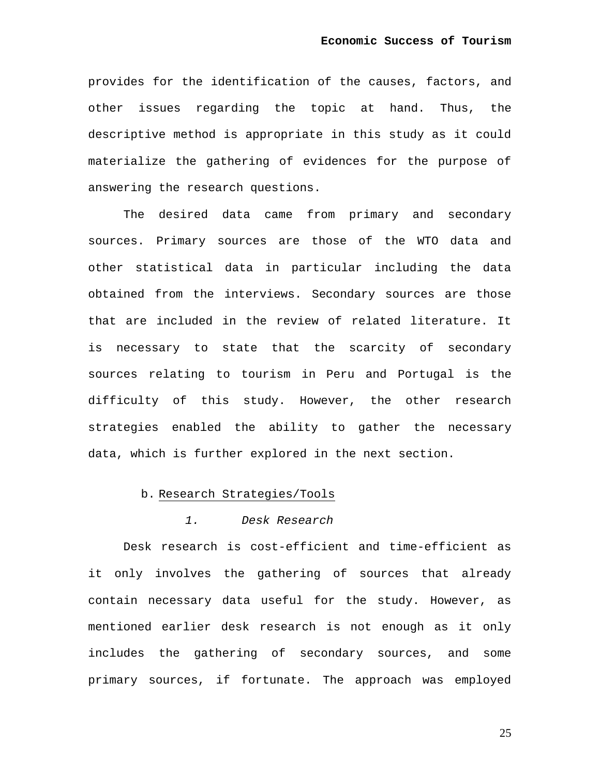provides for the identification of the causes, factors, and other issues regarding the topic at hand. Thus, the descriptive method is appropriate in this study as it could materialize the gathering of evidences for the purpose of answering the research questions.

The desired data came from primary and secondary sources. Primary sources are those of the WTO data and other statistical data in particular including the data obtained from the interviews. Secondary sources are those that are included in the review of related literature. It is necessary to state that the scarcity of secondary sources relating to tourism in Peru and Portugal is the difficulty of this study. However, the other research strategies enabled the ability to gather the necessary data, which is further explored in the next section.

### b. Research Strategies/Tools

## *1. Desk Research*

Desk research is cost-efficient and time-efficient as it only involves the gathering of sources that already contain necessary data useful for the study. However, as mentioned earlier desk research is not enough as it only includes the gathering of secondary sources, and some primary sources, if fortunate. The approach was employed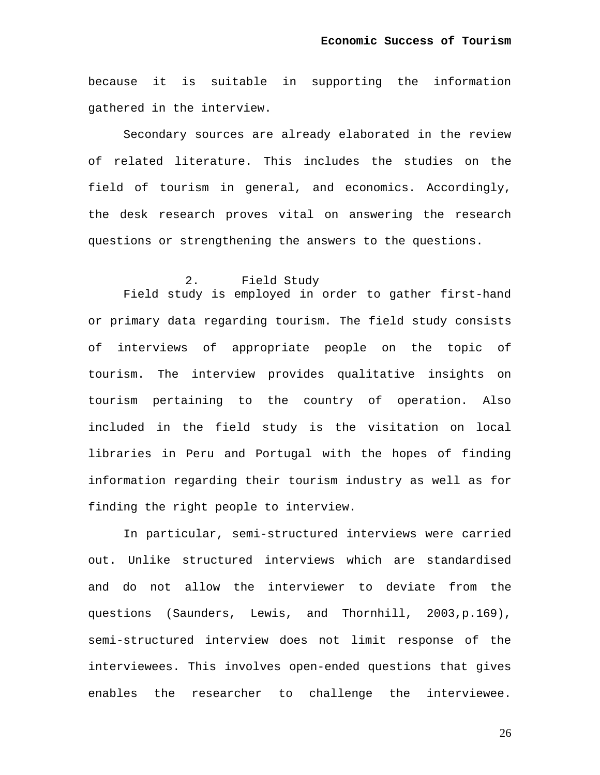because it is suitable in supporting the information gathered in the interview.

Secondary sources are already elaborated in the review of related literature. This includes the studies on the field of tourism in general, and economics. Accordingly, the desk research proves vital on answering the research questions or strengthening the answers to the questions.

## 2. Field Study

Field study is employed in order to gather first-hand or primary data regarding tourism. The field study consists of interviews of appropriate people on the topic of tourism. The interview provides qualitative insights on tourism pertaining to the country of operation. Also included in the field study is the visitation on local libraries in Peru and Portugal with the hopes of finding information regarding their tourism industry as well as for finding the right people to interview.

In particular, semi-structured interviews were carried out. Unlike structured interviews which are standardised and do not allow the interviewer to deviate from the questions (Saunders, Lewis, and Thornhill, 2003,p.169), semi-structured interview does not limit response of the interviewees. This involves open-ended questions that gives enables the researcher to challenge the interviewee.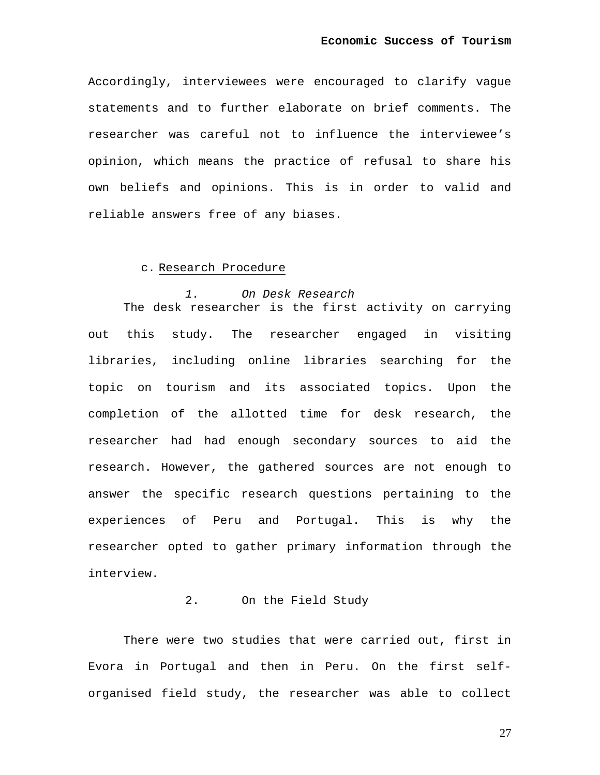Accordingly, interviewees were encouraged to clarify vague statements and to further elaborate on brief comments. The researcher was careful not to influence the interviewee's opinion, which means the practice of refusal to share his own beliefs and opinions. This is in order to valid and reliable answers free of any biases.

### c. Research Procedure

#### *1. On Desk Research*

The desk researcher is the first activity on carrying out this study. The researcher engaged in visiting libraries, including online libraries searching for the topic on tourism and its associated topics. Upon the completion of the allotted time for desk research, the researcher had had enough secondary sources to aid the research. However, the gathered sources are not enough to answer the specific research questions pertaining to the experiences of Peru and Portugal. This is why the researcher opted to gather primary information through the interview.

#### 2. On the Field Study

There were two studies that were carried out, first in Evora in Portugal and then in Peru. On the first selforganised field study, the researcher was able to collect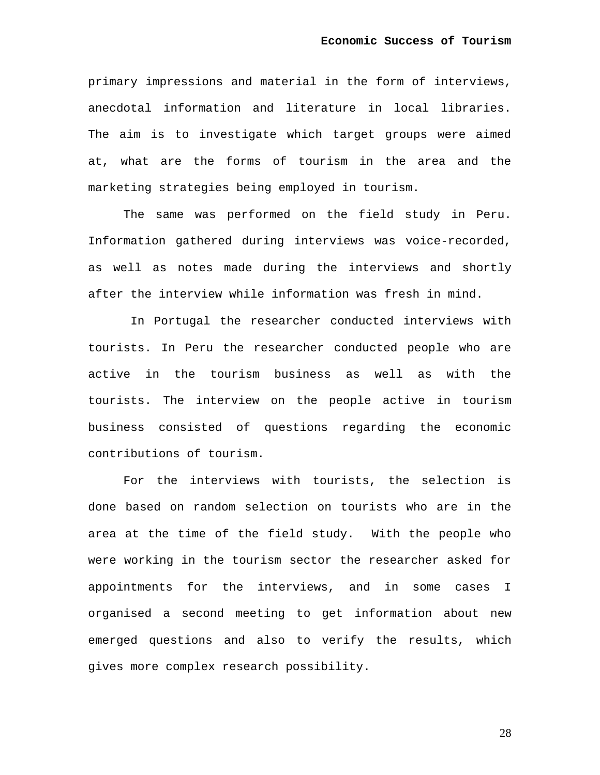primary impressions and material in the form of interviews, anecdotal information and literature in local libraries. The aim is to investigate which target groups were aimed at, what are the forms of tourism in the area and the marketing strategies being employed in tourism.

The same was performed on the field study in Peru. Information gathered during interviews was voice-recorded, as well as notes made during the interviews and shortly after the interview while information was fresh in mind.

 In Portugal the researcher conducted interviews with tourists. In Peru the researcher conducted people who are active in the tourism business as well as with the tourists. The interview on the people active in tourism business consisted of questions regarding the economic contributions of tourism.

For the interviews with tourists, the selection is done based on random selection on tourists who are in the area at the time of the field study. With the people who were working in the tourism sector the researcher asked for appointments for the interviews, and in some cases I organised a second meeting to get information about new emerged questions and also to verify the results, which gives more complex research possibility.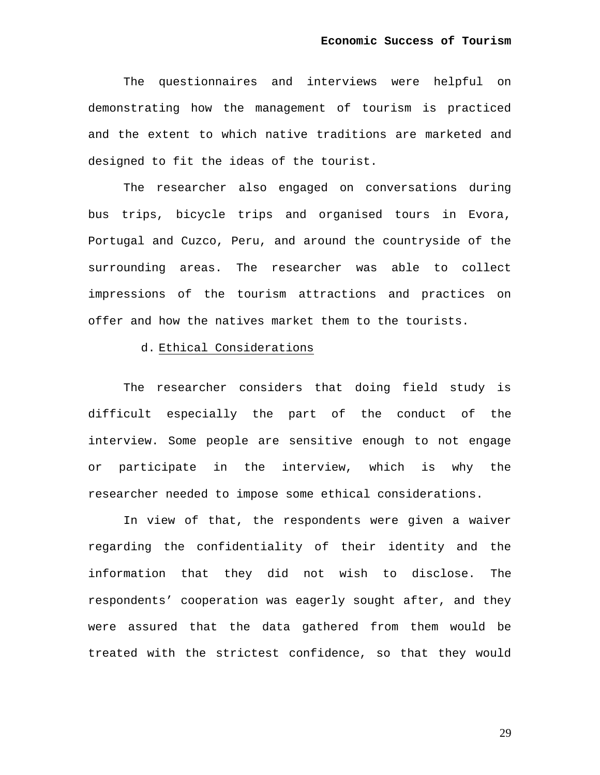The questionnaires and interviews were helpful on demonstrating how the management of tourism is practiced and the extent to which native traditions are marketed and designed to fit the ideas of the tourist.

The researcher also engaged on conversations during bus trips, bicycle trips and organised tours in Evora, Portugal and Cuzco, Peru, and around the countryside of the surrounding areas. The researcher was able to collect impressions of the tourism attractions and practices on offer and how the natives market them to the tourists.

#### d. Ethical Considerations

The researcher considers that doing field study is difficult especially the part of the conduct of the interview. Some people are sensitive enough to not engage or participate in the interview, which is why the researcher needed to impose some ethical considerations.

In view of that, the respondents were given a waiver regarding the confidentiality of their identity and the information that they did not wish to disclose. The respondents' cooperation was eagerly sought after, and they were assured that the data gathered from them would be treated with the strictest confidence, so that they would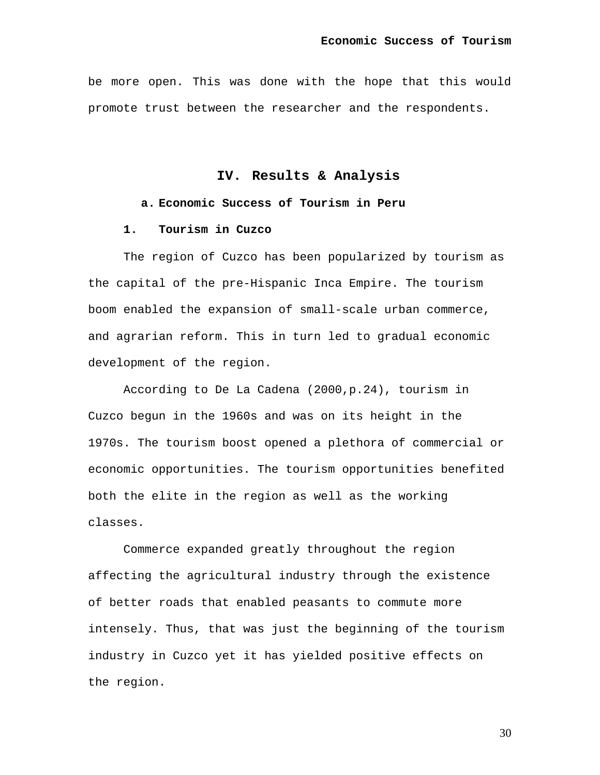be more open. This was done with the hope that this would promote trust between the researcher and the respondents.

**IV. Results & Analysis** 

## **a. Economic Success of Tourism in Peru**

### **1. Tourism in Cuzco**

The region of Cuzco has been popularized by tourism as the capital of the pre-Hispanic Inca Empire. The tourism boom enabled the expansion of small-scale urban commerce, and agrarian reform. This in turn led to gradual economic development of the region.

According to De La Cadena (2000,p.24), tourism in Cuzco begun in the 1960s and was on its height in the 1970s. The tourism boost opened a plethora of commercial or economic opportunities. The tourism opportunities benefited both the elite in the region as well as the working classes.

Commerce expanded greatly throughout the region affecting the agricultural industry through the existence of better roads that enabled peasants to commute more intensely. Thus, that was just the beginning of the tourism industry in Cuzco yet it has yielded positive effects on the region.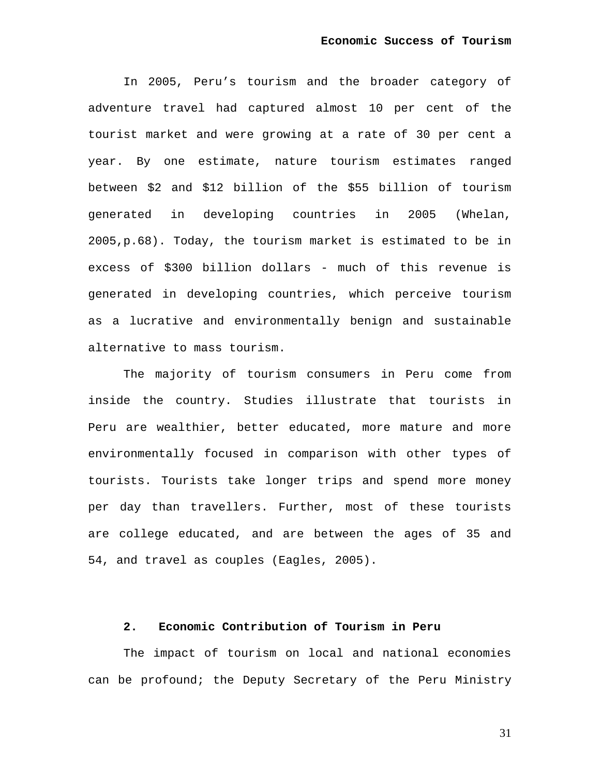In 2005, Peru's tourism and the broader category of adventure travel had captured almost 10 per cent of the tourist market and were growing at a rate of 30 per cent a year. By one estimate, nature tourism estimates ranged between \$2 and \$12 billion of the \$55 billion of tourism generated in developing countries in 2005 (Whelan, 2005,p.68). Today, the tourism market is estimated to be in excess of \$300 billion dollars - much of this revenue is generated in developing countries, which perceive tourism as a lucrative and environmentally benign and sustainable alternative to mass tourism.

The majority of tourism consumers in Peru come from inside the country. Studies illustrate that tourists in Peru are wealthier, better educated, more mature and more environmentally focused in comparison with other types of tourists. Tourists take longer trips and spend more money per day than travellers. Further, most of these tourists are college educated, and are between the ages of 35 and 54, and travel as couples (Eagles, 2005).

# **2. Economic Contribution of Tourism in Peru**

The impact of tourism on local and national economies can be profound; the Deputy Secretary of the Peru Ministry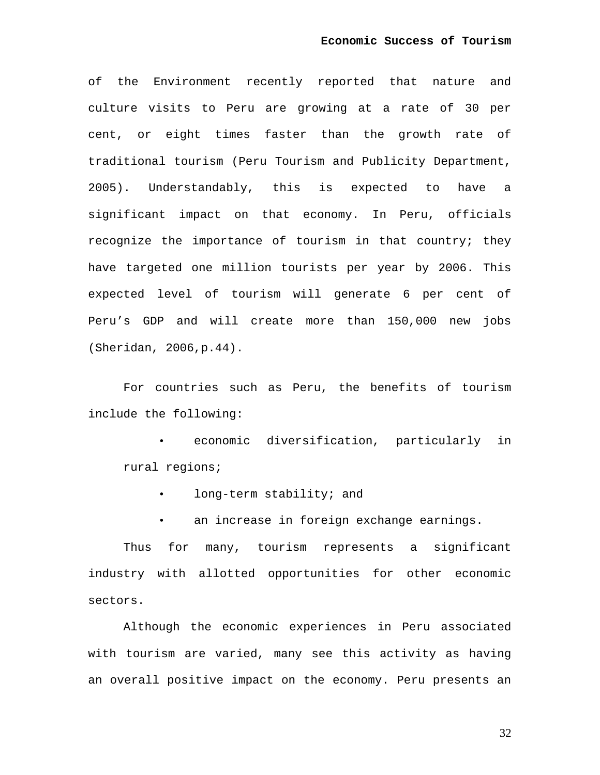of the Environment recently reported that nature and culture visits to Peru are growing at a rate of 30 per cent, or eight times faster than the growth rate of traditional tourism (Peru Tourism and Publicity Department, 2005). Understandably, this is expected to have a significant impact on that economy. In Peru, officials recognize the importance of tourism in that country; they have targeted one million tourists per year by 2006. This expected level of tourism will generate 6 per cent of Peru's GDP and will create more than 150,000 new jobs (Sheridan, 2006,p.44).

For countries such as Peru, the benefits of tourism include the following:

• economic diversification, particularly in rural regions;

- long-term stability; and
- an increase in foreign exchange earnings.

Thus for many, tourism represents a significant industry with allotted opportunities for other economic sectors.

Although the economic experiences in Peru associated with tourism are varied, many see this activity as having an overall positive impact on the economy. Peru presents an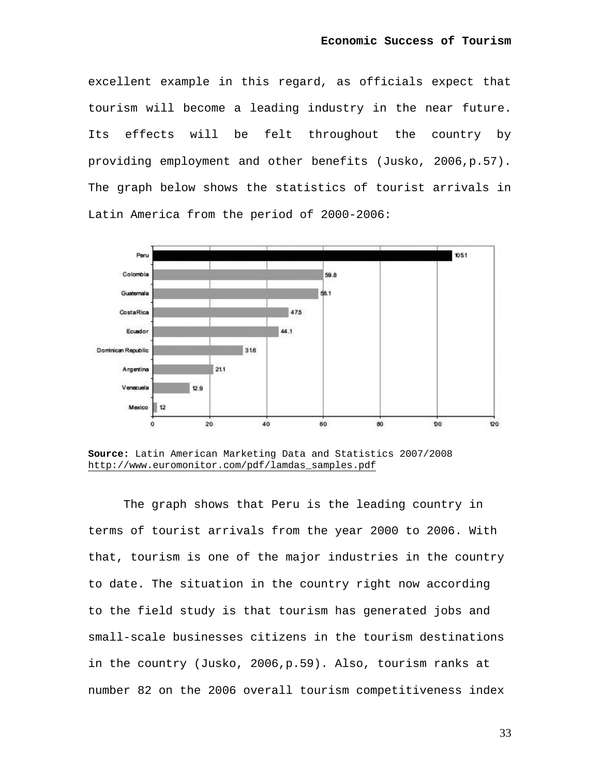excellent example in this regard, as officials expect that tourism will become a leading industry in the near future. Its effects will be felt throughout the country by providing employment and other benefits (Jusko, 2006,p.57). The graph below shows the statistics of tourist arrivals in Latin America from the period of 2000-2006:



**Source:** Latin American Marketing Data and Statistics 2007/2008 [http://www.euromonitor.com/pdf/lamdas\\_samples.pdf](http://www.euromonitor.com/pdf/lamdas_samples.pdf)

The graph shows that Peru is the leading country in terms of tourist arrivals from the year 2000 to 2006. With that, tourism is one of the major industries in the country to date. The situation in the country right now according to the field study is that tourism has generated jobs and small-scale businesses citizens in the tourism destinations in the country (Jusko, 2006,p.59). Also, tourism ranks at number 82 on the 2006 overall tourism competitiveness index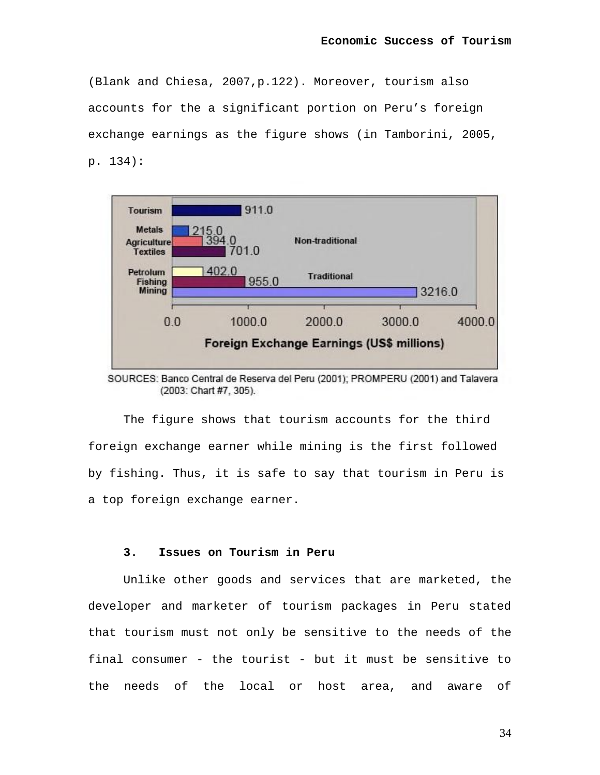(Blank and Chiesa, 2007,p.122). Moreover, tourism also accounts for the a significant portion on Peru's foreign exchange earnings as the figure shows (in Tamborini, 2005, p. 134):



SOURCES: Banco Central de Reserva del Peru (2001); PROMPERU (2001) and Talavera (2003: Chart #7, 305).

The figure shows that tourism accounts for the third foreign exchange earner while mining is the first followed by fishing. Thus, it is safe to say that tourism in Peru is a top foreign exchange earner.

### **3. Issues on Tourism in Peru**

Unlike other goods and services that are marketed, the developer and marketer of tourism packages in Peru stated that tourism must not only be sensitive to the needs of the final consumer - the tourist - but it must be sensitive to the needs of the local or host area, and aware of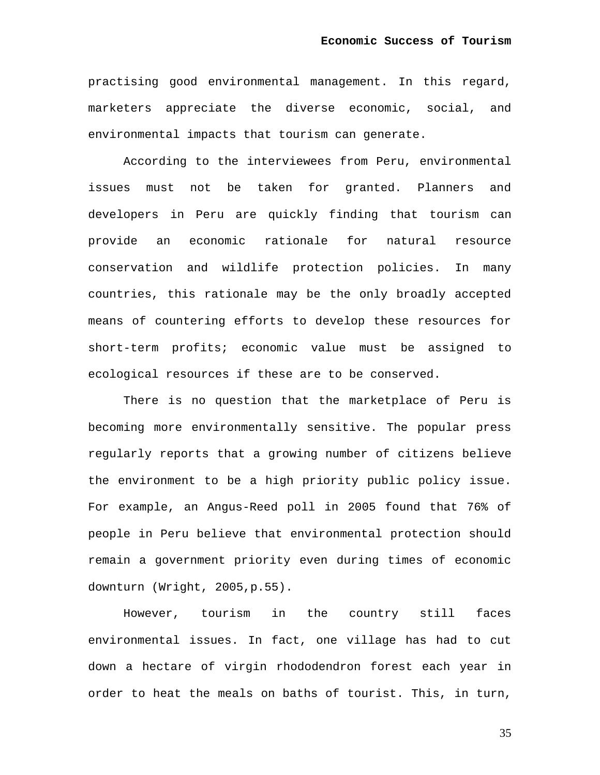practising good environmental management. In this regard, marketers appreciate the diverse economic, social, and environmental impacts that tourism can generate.

According to the interviewees from Peru, environmental issues must not be taken for granted. Planners and developers in Peru are quickly finding that tourism can provide an economic rationale for natural resource conservation and wildlife protection policies. In many countries, this rationale may be the only broadly accepted means of countering efforts to develop these resources for short-term profits; economic value must be assigned to ecological resources if these are to be conserved.

There is no question that the marketplace of Peru is becoming more environmentally sensitive. The popular press regularly reports that a growing number of citizens believe the environment to be a high priority public policy issue. For example, an Angus-Reed poll in 2005 found that 76% of people in Peru believe that environmental protection should remain a government priority even during times of economic downturn (Wright, 2005,p.55).

However, tourism in the country still faces environmental issues. In fact, one village has had to cut down a hectare of virgin rhododendron forest each year in order to heat the meals on baths of tourist. This, in turn,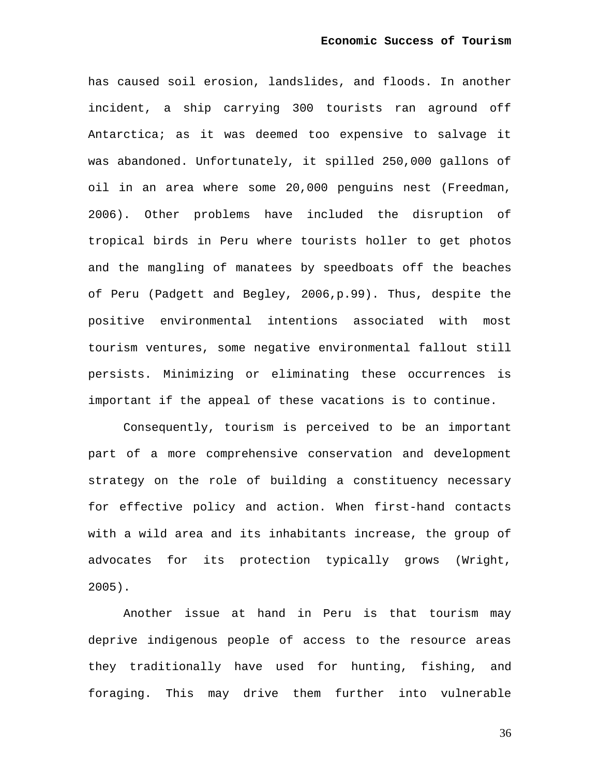has caused soil erosion, landslides, and floods. In another incident, a ship carrying 300 tourists ran aground off Antarctica; as it was deemed too expensive to salvage it was abandoned. Unfortunately, it spilled 250,000 gallons of oil in an area where some 20,000 penguins nest (Freedman, 2006). Other problems have included the disruption of tropical birds in Peru where tourists holler to get photos and the mangling of manatees by speedboats off the beaches of Peru (Padgett and Begley, 2006,p.99). Thus, despite the positive environmental intentions associated with most tourism ventures, some negative environmental fallout still persists. Minimizing or eliminating these occurrences is important if the appeal of these vacations is to continue.

Consequently, tourism is perceived to be an important part of a more comprehensive conservation and development strategy on the role of building a constituency necessary for effective policy and action. When first-hand contacts with a wild area and its inhabitants increase, the group of advocates for its protection typically grows (Wright, 2005).

Another issue at hand in Peru is that tourism may deprive indigenous people of access to the resource areas they traditionally have used for hunting, fishing, and foraging. This may drive them further into vulnerable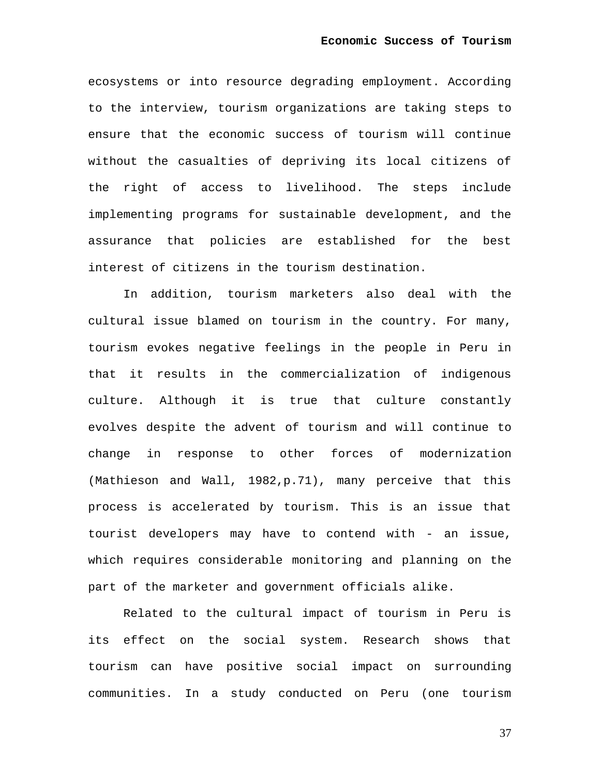ecosystems or into resource degrading employment. According to the interview, tourism organizations are taking steps to ensure that the economic success of tourism will continue without the casualties of depriving its local citizens of the right of access to livelihood. The steps include implementing programs for sustainable development, and the assurance that policies are established for the best interest of citizens in the tourism destination.

In addition, tourism marketers also deal with the cultural issue blamed on tourism in the country. For many, tourism evokes negative feelings in the people in Peru in that it results in the commercialization of indigenous culture. Although it is true that culture constantly evolves despite the advent of tourism and will continue to change in response to other forces of modernization (Mathieson and Wall, 1982,p.71), many perceive that this process is accelerated by tourism. This is an issue that tourist developers may have to contend with - an issue, which requires considerable monitoring and planning on the part of the marketer and government officials alike.

Related to the cultural impact of tourism in Peru is its effect on the social system. Research shows that tourism can have positive social impact on surrounding communities. In a study conducted on Peru (one tourism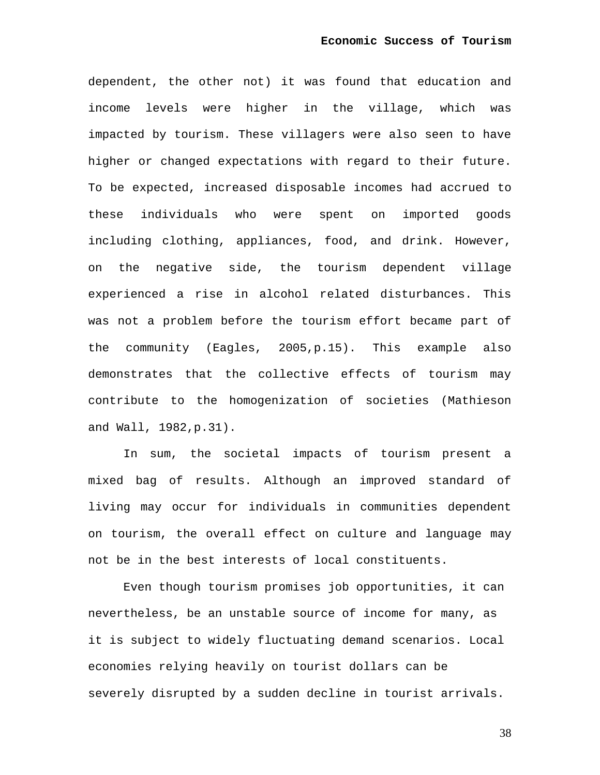dependent, the other not) it was found that education and income levels were higher in the village, which was impacted by tourism. These villagers were also seen to have higher or changed expectations with regard to their future. To be expected, increased disposable incomes had accrued to these individuals who were spent on imported goods including clothing, appliances, food, and drink. However, on the negative side, the tourism dependent village experienced a rise in alcohol related disturbances. This was not a problem before the tourism effort became part of the community (Eagles, 2005,p.15). This example also demonstrates that the collective effects of tourism may contribute to the homogenization of societies (Mathieson and Wall, 1982,p.31).

In sum, the societal impacts of tourism present a mixed bag of results. Although an improved standard of living may occur for individuals in communities dependent on tourism, the overall effect on culture and language may not be in the best interests of local constituents.

Even though tourism promises job opportunities, it can nevertheless, be an unstable source of income for many, as it is subject to widely fluctuating demand scenarios. Local economies relying heavily on tourist dollars can be severely disrupted by a sudden decline in tourist arrivals.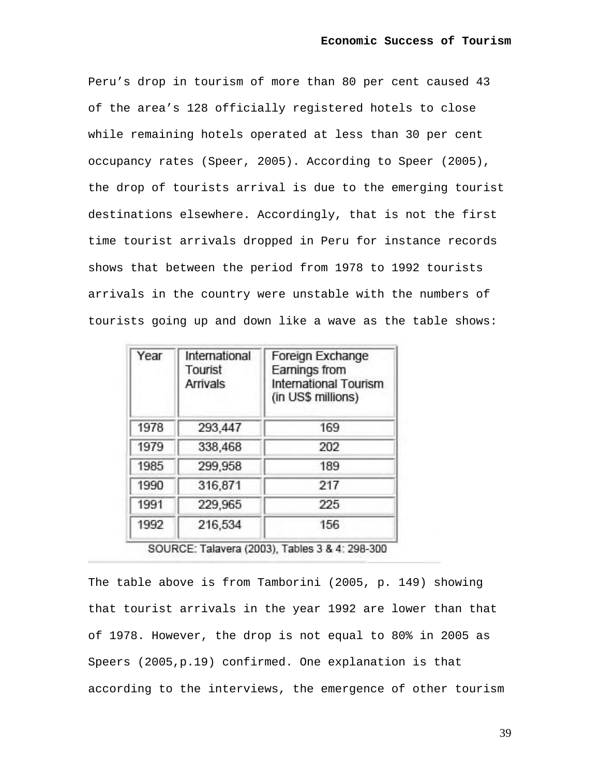Peru's drop in tourism of more than 80 per cent caused 43 of the area's 128 officially registered hotels to close while remaining hotels operated at less than 30 per cent occupancy rates (Speer, 2005). According to Speer (2005), the drop of tourists arrival is due to the emerging tourist destinations elsewhere. Accordingly, that is not the first time tourist arrivals dropped in Peru for instance records shows that between the period from 1978 to 1992 tourists arrivals in the country were unstable with the numbers of tourists going up and down like a wave as the table shows:

| Year | International<br>Tourist<br><b>Arrivals</b> | Foreign Exchange<br>Earnings from<br>International Tourism<br>(in US\$ millions) |  |
|------|---------------------------------------------|----------------------------------------------------------------------------------|--|
| 1978 | 293,447                                     | 169                                                                              |  |
| 1979 | 338,468                                     | 202                                                                              |  |
| 1985 | 299,958                                     | 189                                                                              |  |
| 1990 | 316,871                                     | 217                                                                              |  |
| 1991 | 229,965                                     | 225                                                                              |  |
| 1992 | 216,534                                     | 156                                                                              |  |

SOURCE: Talavera (2003), Tables 3 & 4: 298-300

The table above is from Tamborini (2005, p. 149) showing that tourist arrivals in the year 1992 are lower than that of 1978. However, the drop is not equal to 80% in 2005 as Speers (2005,p.19) confirmed. One explanation is that according to the interviews, the emergence of other tourism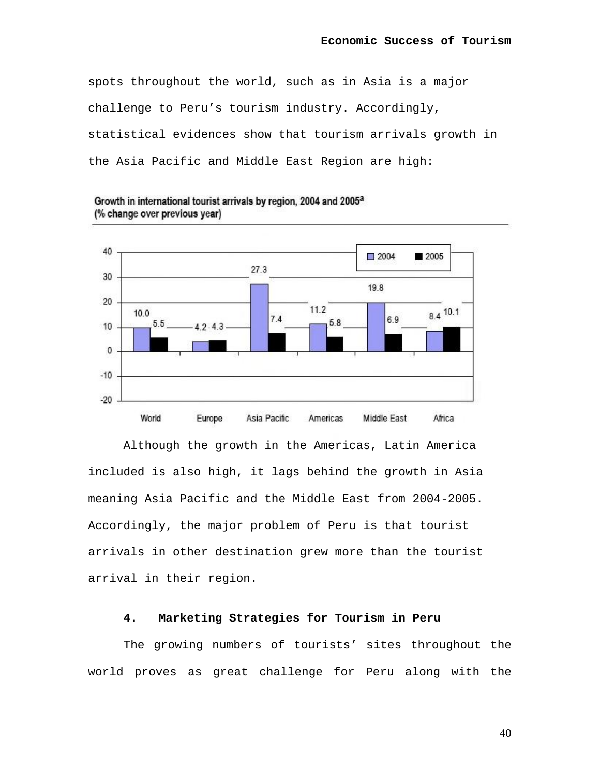spots throughout the world, such as in Asia is a major challenge to Peru's tourism industry. Accordingly, statistical evidences show that tourism arrivals growth in the Asia Pacific and Middle East Region are high:



Growth in international tourist arrivals by region, 2004 and 2005<sup>a</sup> (% change over previous year)

Although the growth in the Americas, Latin America included is also high, it lags behind the growth in Asia meaning Asia Pacific and the Middle East from 2004-2005. Accordingly, the major problem of Peru is that tourist arrivals in other destination grew more than the tourist arrival in their region.

## **4. Marketing Strategies for Tourism in Peru**

The growing numbers of tourists' sites throughout the world proves as great challenge for Peru along with the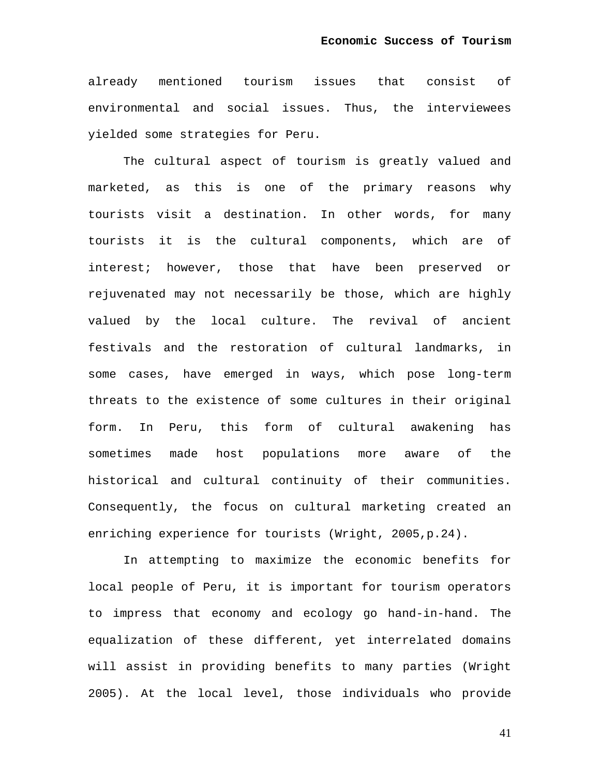already mentioned tourism issues that consist of environmental and social issues. Thus, the interviewees yielded some strategies for Peru.

The cultural aspect of tourism is greatly valued and marketed, as this is one of the primary reasons why tourists visit a destination. In other words, for many tourists it is the cultural components, which are of interest; however, those that have been preserved or rejuvenated may not necessarily be those, which are highly valued by the local culture. The revival of ancient festivals and the restoration of cultural landmarks, in some cases, have emerged in ways, which pose long-term threats to the existence of some cultures in their original form. In Peru, this form of cultural awakening has sometimes made host populations more aware of the historical and cultural continuity of their communities. Consequently, the focus on cultural marketing created an enriching experience for tourists (Wright, 2005,p.24).

In attempting to maximize the economic benefits for local people of Peru, it is important for tourism operators to impress that economy and ecology go hand-in-hand. The equalization of these different, yet interrelated domains will assist in providing benefits to many parties (Wright 2005). At the local level, those individuals who provide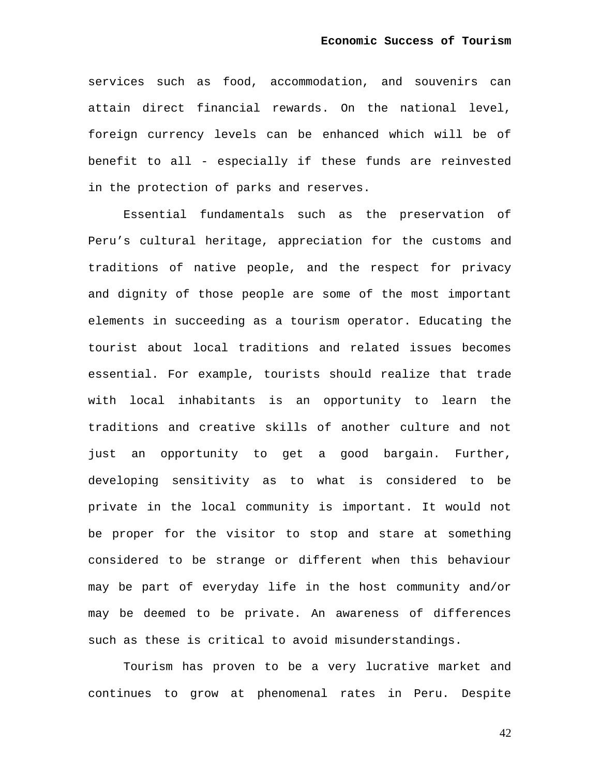services such as food, accommodation, and souvenirs can attain direct financial rewards. On the national level, foreign currency levels can be enhanced which will be of benefit to all - especially if these funds are reinvested in the protection of parks and reserves.

Essential fundamentals such as the preservation of Peru's cultural heritage, appreciation for the customs and traditions of native people, and the respect for privacy and dignity of those people are some of the most important elements in succeeding as a tourism operator. Educating the tourist about local traditions and related issues becomes essential. For example, tourists should realize that trade with local inhabitants is an opportunity to learn the traditions and creative skills of another culture and not just an opportunity to get a good bargain. Further, developing sensitivity as to what is considered to be private in the local community is important. It would not be proper for the visitor to stop and stare at something considered to be strange or different when this behaviour may be part of everyday life in the host community and/or may be deemed to be private. An awareness of differences such as these is critical to avoid misunderstandings.

Tourism has proven to be a very lucrative market and continues to grow at phenomenal rates in Peru. Despite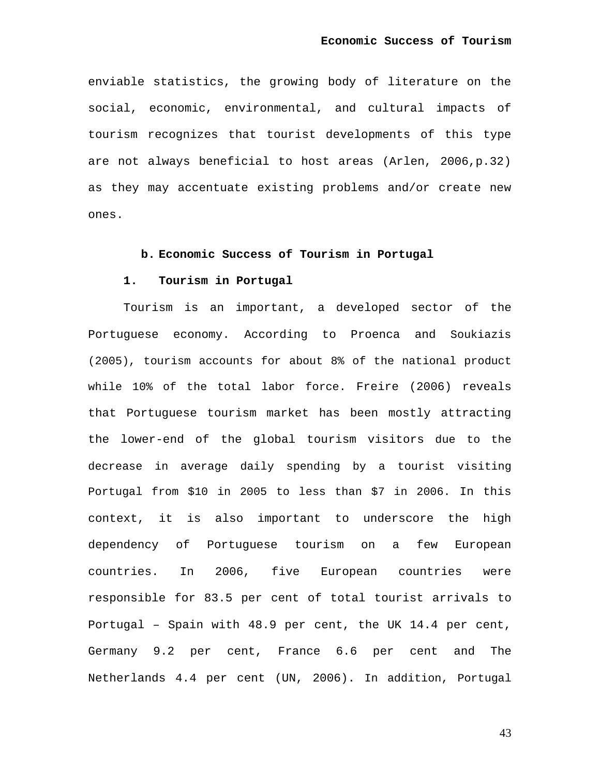enviable statistics, the growing body of literature on the social, economic, environmental, and cultural impacts of tourism recognizes that tourist developments of this type are not always beneficial to host areas (Arlen, 2006,p.32) as they may accentuate existing problems and/or create new ones.

## **b. Economic Success of Tourism in Portugal**

## **1. Tourism in Portugal**

Tourism is an important, a developed sector of the Portuguese economy. According to Proenca and Soukiazis (2005), tourism accounts for about 8% of the national product while 10% of the total labor force. Freire (2006) reveals that Portuguese tourism market has been mostly attracting the lower-end of the global tourism visitors due to the decrease in average daily spending by a tourist visiting Portugal from \$10 in 2005 to less than \$7 in 2006. In this context, it is also important to underscore the high dependency of Portuguese tourism on a few European countries. In 2006, five European countries were responsible for 83.5 per cent of total tourist arrivals to Portugal – Spain with 48.9 per cent, the UK 14.4 per cent, Germany 9.2 per cent, France 6.6 per cent and The Netherlands 4.4 per cent (UN, 2006). In addition, Portugal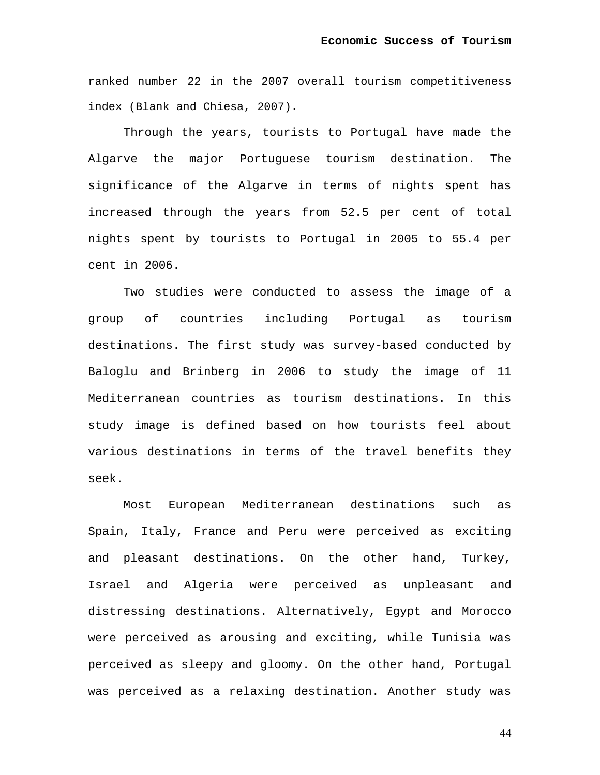ranked number 22 in the 2007 overall tourism competitiveness index (Blank and Chiesa, 2007).

Through the years, tourists to Portugal have made the Algarve the major Portuguese tourism destination. The significance of the Algarve in terms of nights spent has increased through the years from 52.5 per cent of total nights spent by tourists to Portugal in 2005 to 55.4 per cent in 2006.

Two studies were conducted to assess the image of a group of countries including Portugal as tourism destinations. The first study was survey-based conducted by Baloglu and Brinberg in 2006 to study the image of 11 Mediterranean countries as tourism destinations. In this study image is defined based on how tourists feel about various destinations in terms of the travel benefits they seek.

Most European Mediterranean destinations such as Spain, Italy, France and Peru were perceived as exciting and pleasant destinations. On the other hand, Turkey, Israel and Algeria were perceived as unpleasant and distressing destinations. Alternatively, Egypt and Morocco were perceived as arousing and exciting, while Tunisia was perceived as sleepy and gloomy. On the other hand, Portugal was perceived as a relaxing destination. Another study was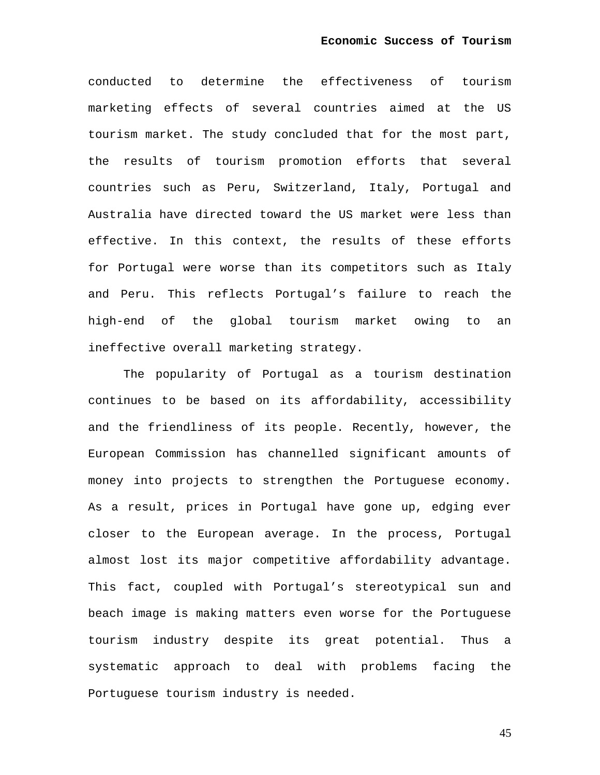conducted to determine the effectiveness of tourism marketing effects of several countries aimed at the US tourism market. The study concluded that for the most part, the results of tourism promotion efforts that several countries such as Peru, Switzerland, Italy, Portugal and Australia have directed toward the US market were less than effective. In this context, the results of these efforts for Portugal were worse than its competitors such as Italy and Peru. This reflects Portugal's failure to reach the high-end of the global tourism market owing to an ineffective overall marketing strategy.

The popularity of Portugal as a tourism destination continues to be based on its affordability, accessibility and the friendliness of its people. Recently, however, the European Commission has channelled significant amounts of money into projects to strengthen the Portuguese economy. As a result, prices in Portugal have gone up, edging ever closer to the European average. In the process, Portugal almost lost its major competitive affordability advantage. This fact, coupled with Portugal's stereotypical sun and beach image is making matters even worse for the Portuguese tourism industry despite its great potential. Thus a systematic approach to deal with problems facing the Portuguese tourism industry is needed.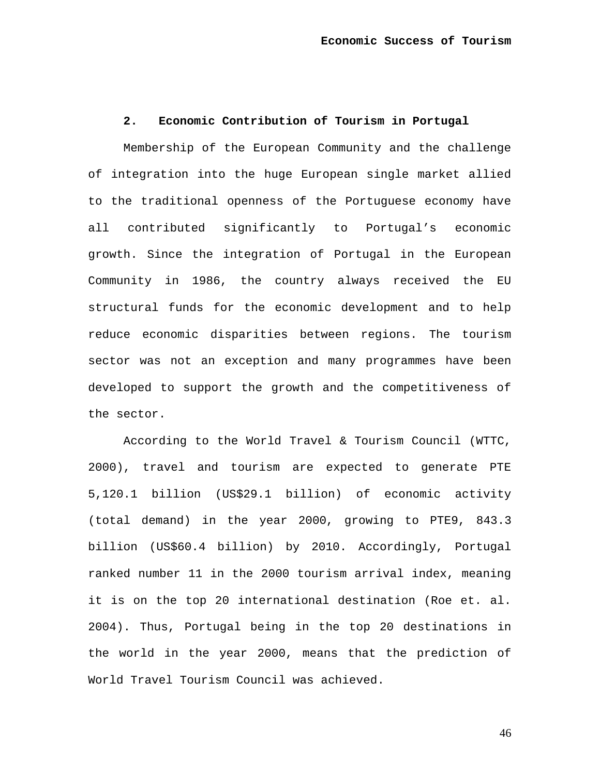## **2. Economic Contribution of Tourism in Portugal**

Membership of the European Community and the challenge of integration into the huge European single market allied to the traditional openness of the Portuguese economy have all contributed significantly to Portugal's economic growth. Since the integration of Portugal in the European Community in 1986, the country always received the EU structural funds for the economic development and to help reduce economic disparities between regions. The tourism sector was not an exception and many programmes have been developed to support the growth and the competitiveness of the sector.

According to the World Travel & Tourism Council (WTTC, 2000), travel and tourism are expected to generate PTE 5,120.1 billion (US\$29.1 billion) of economic activity (total demand) in the year 2000, growing to PTE9, 843.3 billion (US\$60.4 billion) by 2010. Accordingly, Portugal ranked number 11 in the 2000 tourism arrival index, meaning it is on the top 20 international destination (Roe et. al. 2004). Thus, Portugal being in the top 20 destinations in the world in the year 2000, means that the prediction of World Travel Tourism Council was achieved.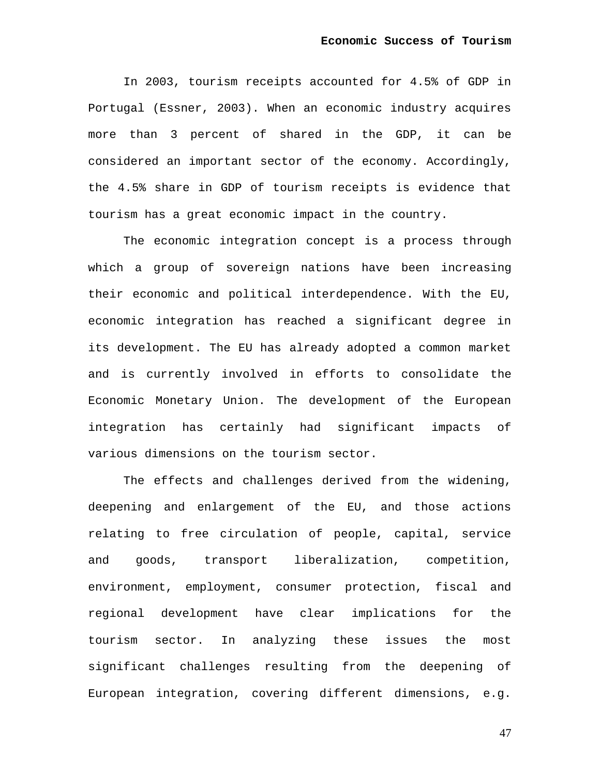In 2003, tourism receipts accounted for 4.5% of GDP in Portugal (Essner, 2003). When an economic industry acquires more than 3 percent of shared in the GDP, it can be considered an important sector of the economy. Accordingly, the 4.5% share in GDP of tourism receipts is evidence that tourism has a great economic impact in the country.

The economic integration concept is a process through which a group of sovereign nations have been increasing their economic and political interdependence. With the EU, economic integration has reached a significant degree in its development. The EU has already adopted a common market and is currently involved in efforts to consolidate the Economic Monetary Union. The development of the European integration has certainly had significant impacts of various dimensions on the tourism sector.

The effects and challenges derived from the widening, deepening and enlargement of the EU, and those actions relating to free circulation of people, capital, service and goods, transport liberalization, competition, environment, employment, consumer protection, fiscal and regional development have clear implications for the tourism sector. In analyzing these issues the most significant challenges resulting from the deepening of European integration, covering different dimensions, e.g.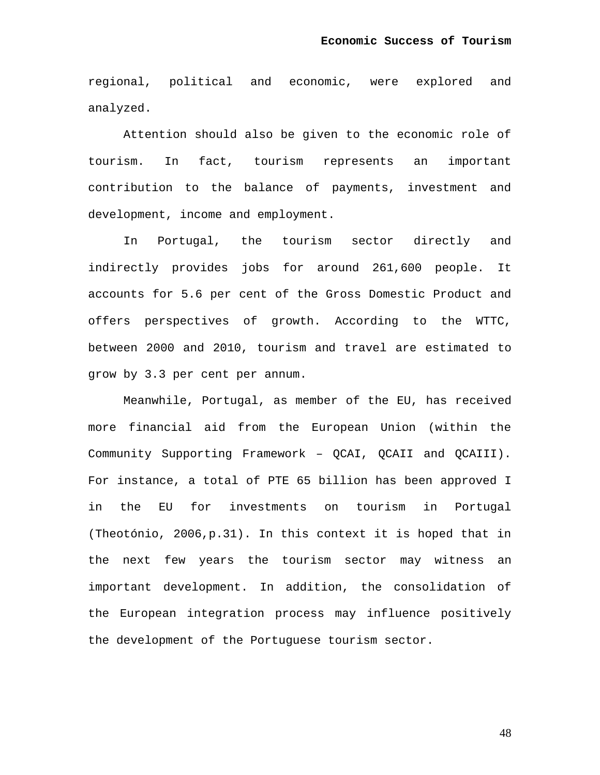regional, political and economic, were explored and analyzed.

Attention should also be given to the economic role of tourism. In fact, tourism represents an important contribution to the balance of payments, investment and development, income and employment.

In Portugal, the tourism sector directly and indirectly provides jobs for around 261,600 people. It accounts for 5.6 per cent of the Gross Domestic Product and offers perspectives of growth. According to the WTTC, between 2000 and 2010, tourism and travel are estimated to grow by 3.3 per cent per annum.

Meanwhile, Portugal, as member of the EU, has received more financial aid from the European Union (within the Community Supporting Framework – QCAI, QCAII and QCAIII). For instance, a total of PTE 65 billion has been approved I in the EU for investments on tourism in Portugal (Theotónio, 2006,p.31). In this context it is hoped that in the next few years the tourism sector may witness an important development. In addition, the consolidation of the European integration process may influence positively the development of the Portuguese tourism sector.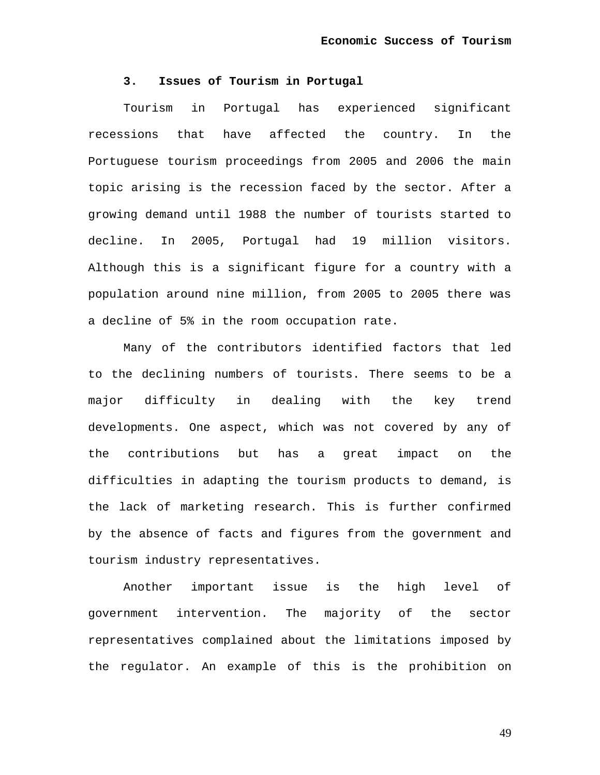## **3. Issues of Tourism in Portugal**

Tourism in Portugal has experienced significant recessions that have affected the country. In the Portuguese tourism proceedings from 2005 and 2006 the main topic arising is the recession faced by the sector. After a growing demand until 1988 the number of tourists started to decline. In 2005, Portugal had 19 million visitors. Although this is a significant figure for a country with a population around nine million, from 2005 to 2005 there was a decline of 5% in the room occupation rate.

Many of the contributors identified factors that led to the declining numbers of tourists. There seems to be a major difficulty in dealing with the key trend developments. One aspect, which was not covered by any of the contributions but has a great impact on the difficulties in adapting the tourism products to demand, is the lack of marketing research. This is further confirmed by the absence of facts and figures from the government and tourism industry representatives.

Another important issue is the high level of government intervention. The majority of the sector representatives complained about the limitations imposed by the regulator. An example of this is the prohibition on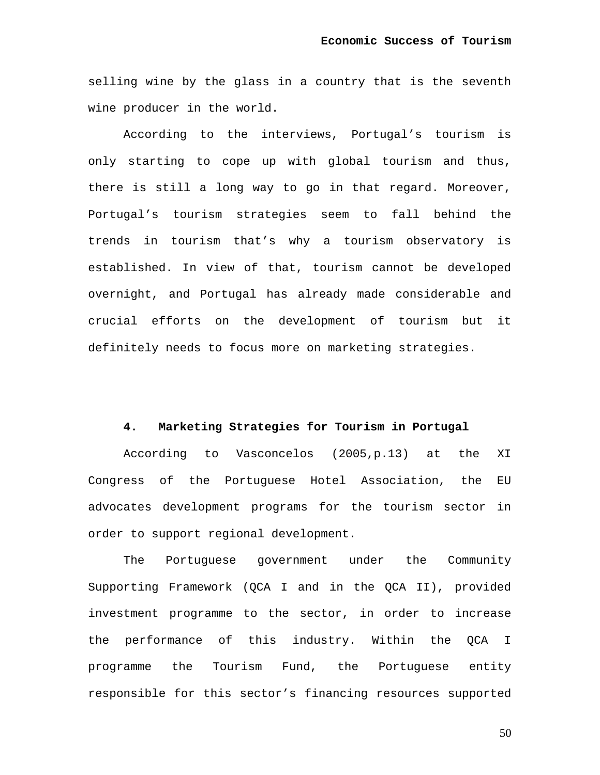selling wine by the glass in a country that is the seventh wine producer in the world.

According to the interviews, Portugal's tourism is only starting to cope up with global tourism and thus, there is still a long way to go in that regard. Moreover, Portugal's tourism strategies seem to fall behind the trends in tourism that's why a tourism observatory is established. In view of that, tourism cannot be developed overnight, and Portugal has already made considerable and crucial efforts on the development of tourism but it definitely needs to focus more on marketing strategies.

## **4. Marketing Strategies for Tourism in Portugal**

According to Vasconcelos (2005,p.13) at the XI Congress of the Portuguese Hotel Association, the EU advocates development programs for the tourism sector in order to support regional development.

The Portuguese government under the Community Supporting Framework (QCA I and in the QCA II), provided investment programme to the sector, in order to increase the performance of this industry. Within the QCA I programme the Tourism Fund, the Portuguese entity responsible for this sector's financing resources supported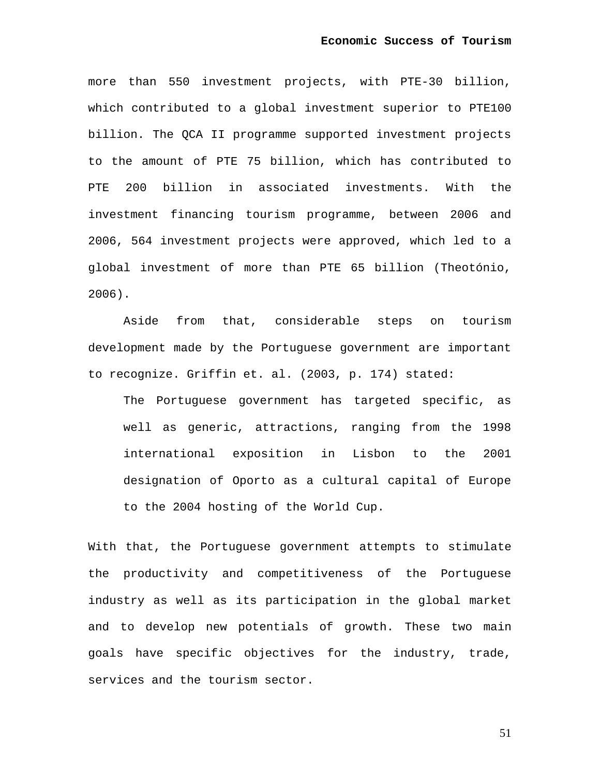more than 550 investment projects, with PTE-30 billion, which contributed to a global investment superior to PTE100 billion. The QCA II programme supported investment projects to the amount of PTE 75 billion, which has contributed to PTE 200 billion in associated investments. With the investment financing tourism programme, between 2006 and 2006, 564 investment projects were approved, which led to a global investment of more than PTE 65 billion (Theotónio, 2006).

Aside from that, considerable steps on tourism development made by the Portuguese government are important to recognize. Griffin et. al. (2003, p. 174) stated:

The Portuguese government has targeted specific, as well as generic, attractions, ranging from the 1998 international exposition in Lisbon to the 2001 designation of Oporto as a cultural capital of Europe to the 2004 hosting of the World Cup.

With that, the Portuguese government attempts to stimulate the productivity and competitiveness of the Portuguese industry as well as its participation in the global market and to develop new potentials of growth. These two main goals have specific objectives for the industry, trade, services and the tourism sector.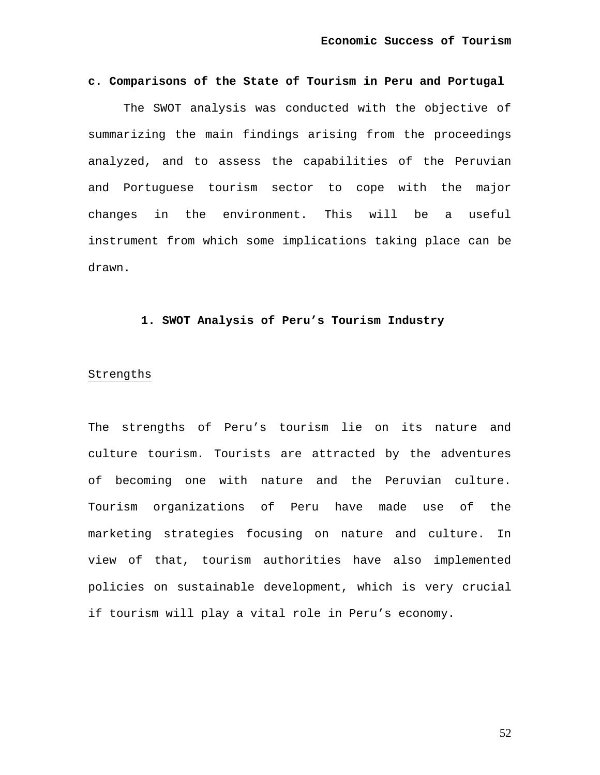## **c. Comparisons of the State of Tourism in Peru and Portugal**

The SWOT analysis was conducted with the objective of summarizing the main findings arising from the proceedings analyzed, and to assess the capabilities of the Peruvian and Portuguese tourism sector to cope with the major changes in the environment. This will be a useful instrument from which some implications taking place can be drawn.

## **1. SWOT Analysis of Peru's Tourism Industry**

## Strengths

The strengths of Peru's tourism lie on its nature and culture tourism. Tourists are attracted by the adventures of becoming one with nature and the Peruvian culture. Tourism organizations of Peru have made use of the marketing strategies focusing on nature and culture. In view of that, tourism authorities have also implemented policies on sustainable development, which is very crucial if tourism will play a vital role in Peru's economy.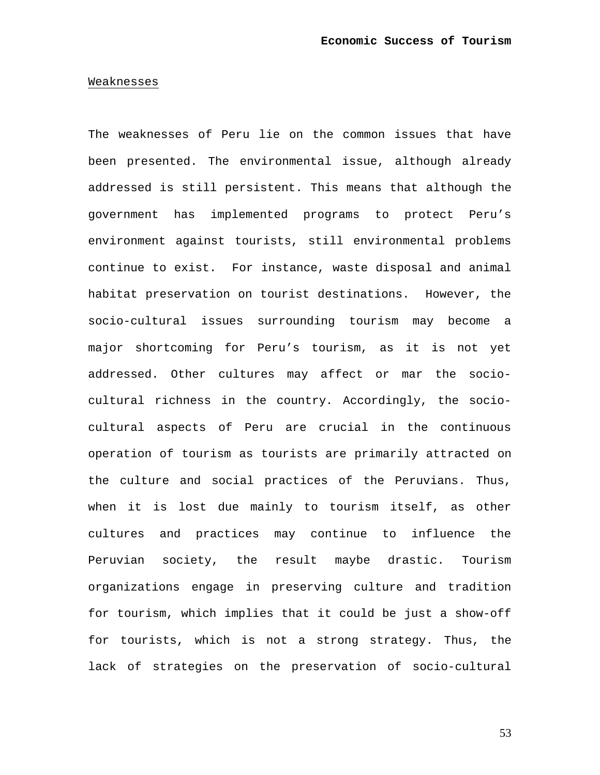#### Weaknesses

The weaknesses of Peru lie on the common issues that have been presented. The environmental issue, although already addressed is still persistent. This means that although the government has implemented programs to protect Peru's environment against tourists, still environmental problems continue to exist. For instance, waste disposal and animal habitat preservation on tourist destinations. However, the socio-cultural issues surrounding tourism may become a major shortcoming for Peru's tourism, as it is not yet addressed. Other cultures may affect or mar the sociocultural richness in the country. Accordingly, the sociocultural aspects of Peru are crucial in the continuous operation of tourism as tourists are primarily attracted on the culture and social practices of the Peruvians. Thus, when it is lost due mainly to tourism itself, as other cultures and practices may continue to influence the Peruvian society, the result maybe drastic. Tourism organizations engage in preserving culture and tradition for tourism, which implies that it could be just a show-off for tourists, which is not a strong strategy. Thus, the lack of strategies on the preservation of socio-cultural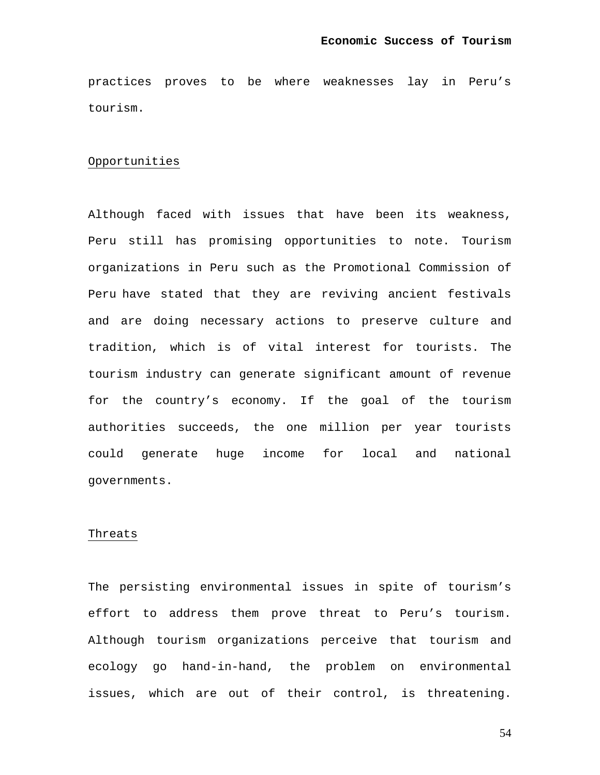practices proves to be where weaknesses lay in Peru's tourism.

## Opportunities

Although faced with issues that have been its weakness, Peru still has promising opportunities to note. Tourism organizations in Peru such as the Promotional Commission of Peru have stated that they are reviving ancient festivals and are doing necessary actions to preserve culture and tradition, which is of vital interest for tourists. The tourism industry can generate significant amount of revenue for the country's economy. If the goal of the tourism authorities succeeds, the one million per year tourists could generate huge income for local and national governments.

#### Threats

The persisting environmental issues in spite of tourism's effort to address them prove threat to Peru's tourism. Although tourism organizations perceive that tourism and ecology go hand-in-hand, the problem on environmental issues, which are out of their control, is threatening.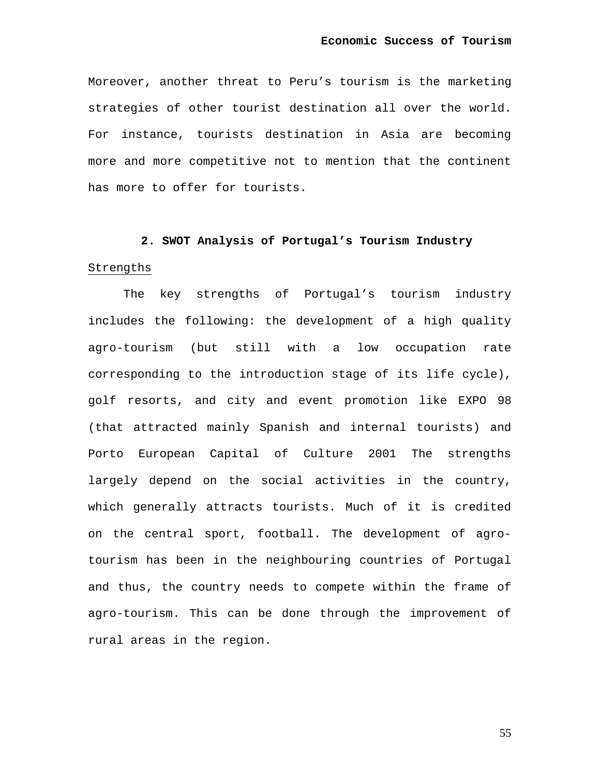Moreover, another threat to Peru's tourism is the marketing strategies of other tourist destination all over the world. For instance, tourists destination in Asia are becoming more and more competitive not to mention that the continent has more to offer for tourists.

# **2. SWOT Analysis of Portugal's Tourism Industry**

# Strengths

The key strengths of Portugal's tourism industry includes the following: the development of a high quality agro-tourism (but still with a low occupation rate corresponding to the introduction stage of its life cycle), golf resorts, and city and event promotion like EXPO 98 (that attracted mainly Spanish and internal tourists) and Porto European Capital of Culture 2001 The strengths largely depend on the social activities in the country, which generally attracts tourists. Much of it is credited on the central sport, football. The development of agrotourism has been in the neighbouring countries of Portugal and thus, the country needs to compete within the frame of agro-tourism. This can be done through the improvement of rural areas in the region.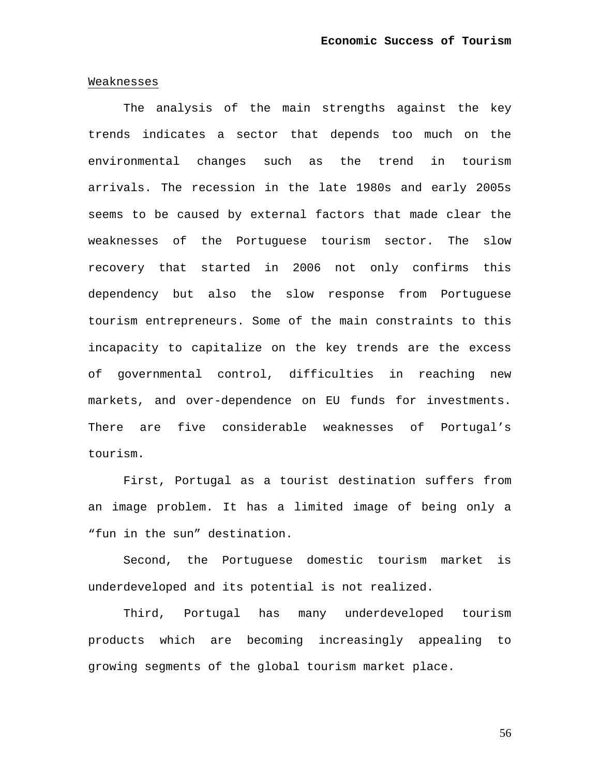#### Weaknesses

The analysis of the main strengths against the key trends indicates a sector that depends too much on the environmental changes such as the trend in tourism arrivals. The recession in the late 1980s and early 2005s seems to be caused by external factors that made clear the weaknesses of the Portuguese tourism sector. The slow recovery that started in 2006 not only confirms this dependency but also the slow response from Portuguese tourism entrepreneurs. Some of the main constraints to this incapacity to capitalize on the key trends are the excess of governmental control, difficulties in reaching new markets, and over-dependence on EU funds for investments. There are five considerable weaknesses of Portugal's tourism.

First, Portugal as a tourist destination suffers from an image problem. It has a limited image of being only a "fun in the sun" destination.

Second, the Portuguese domestic tourism market is underdeveloped and its potential is not realized.

Third, Portugal has many underdeveloped tourism products which are becoming increasingly appealing to growing segments of the global tourism market place.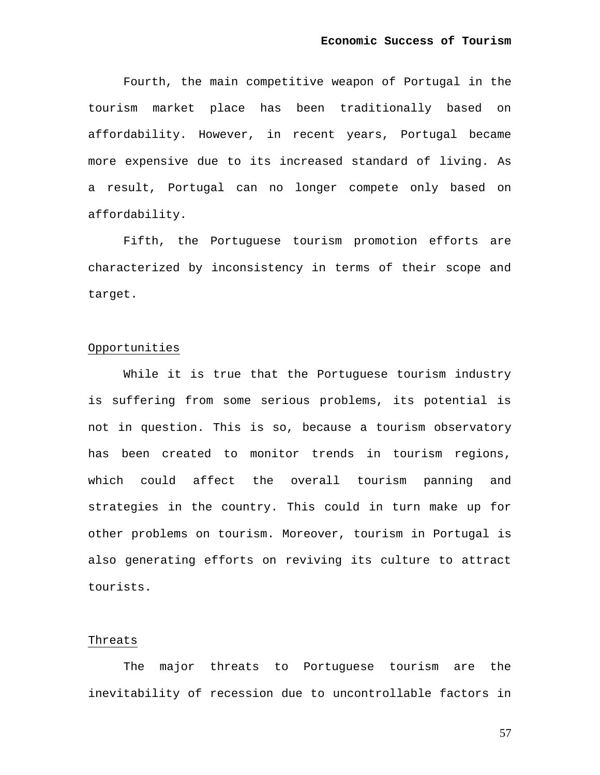Fourth, the main competitive weapon of Portugal in the tourism market place has been traditionally based on affordability. However, in recent years, Portugal became more expensive due to its increased standard of living. As a result, Portugal can no longer compete only based on affordability.

Fifth, the Portuguese tourism promotion efforts are characterized by inconsistency in terms of their scope and target.

## Opportunities

While it is true that the Portuguese tourism industry is suffering from some serious problems, its potential is not in question. This is so, because a tourism observatory has been created to monitor trends in tourism regions, which could affect the overall tourism panning and strategies in the country. This could in turn make up for other problems on tourism. Moreover, tourism in Portugal is also generating efforts on reviving its culture to attract tourists.

#### Threats

The major threats to Portuguese tourism are the inevitability of recession due to uncontrollable factors in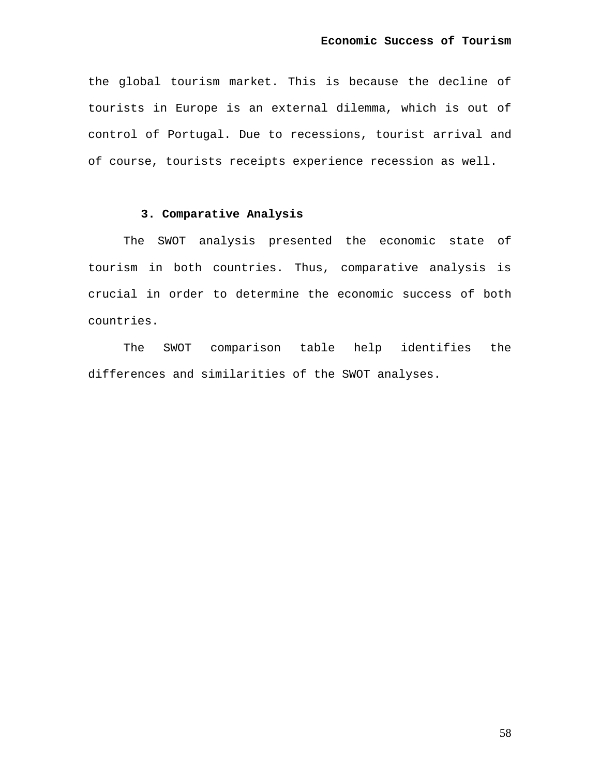the global tourism market. This is because the decline of tourists in Europe is an external dilemma, which is out of control of Portugal. Due to recessions, tourist arrival and of course, tourists receipts experience recession as well.

## **3. Comparative Analysis**

The SWOT analysis presented the economic state of tourism in both countries. Thus, comparative analysis is crucial in order to determine the economic success of both countries.

The SWOT comparison table help identifies the differences and similarities of the SWOT analyses.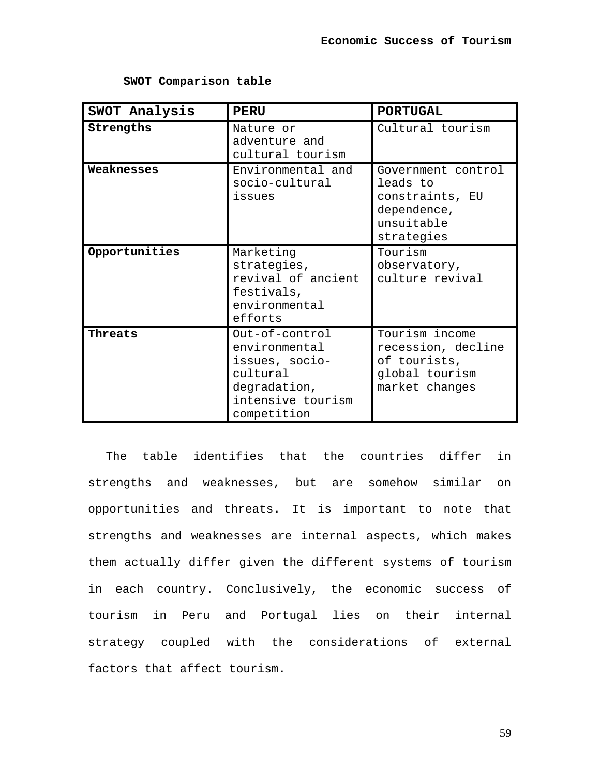| SWOT Analysis | <b>PERU</b>                                                                                                       | <b>PORTUGAL</b>                                                                              |
|---------------|-------------------------------------------------------------------------------------------------------------------|----------------------------------------------------------------------------------------------|
| Strengths     | Nature or<br>adventure and<br>cultural tourism                                                                    | Cultural tourism                                                                             |
| Weaknesses    | Environmental and<br>socio-cultural<br>issues                                                                     | Government control<br>leads to<br>constraints, EU<br>dependence,<br>unsuitable<br>strategies |
| Opportunities | Marketing<br>strategies,<br>revival of ancient<br>festivals,<br>environmental<br>efforts                          | Tourism<br>observatory,<br>culture revival                                                   |
| Threats       | Out-of-control<br>environmental<br>issues, socio-<br>cultural<br>degradation,<br>intensive tourism<br>competition | Tourism income<br>recession, decline<br>of tourists,<br>global tourism<br>market changes     |

**SWOT Comparison table** 

The table identifies that the countries differ in strengths and weaknesses, but are somehow similar on opportunities and threats. It is important to note that strengths and weaknesses are internal aspects, which makes them actually differ given the different systems of tourism in each country. Conclusively, the economic success of tourism in Peru and Portugal lies on their internal strategy coupled with the considerations of external factors that affect tourism.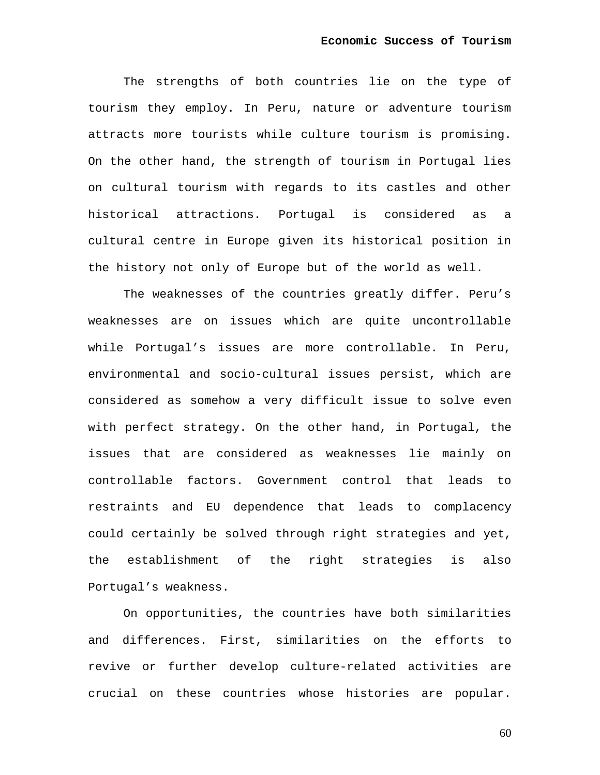The strengths of both countries lie on the type of tourism they employ. In Peru, nature or adventure tourism attracts more tourists while culture tourism is promising. On the other hand, the strength of tourism in Portugal lies on cultural tourism with regards to its castles and other historical attractions. Portugal is considered as a cultural centre in Europe given its historical position in the history not only of Europe but of the world as well.

The weaknesses of the countries greatly differ. Peru's weaknesses are on issues which are quite uncontrollable while Portugal's issues are more controllable. In Peru, environmental and socio-cultural issues persist, which are considered as somehow a very difficult issue to solve even with perfect strategy. On the other hand, in Portugal, the issues that are considered as weaknesses lie mainly on controllable factors. Government control that leads to restraints and EU dependence that leads to complacency could certainly be solved through right strategies and yet, the establishment of the right strategies is also Portugal's weakness.

On opportunities, the countries have both similarities and differences. First, similarities on the efforts to revive or further develop culture-related activities are crucial on these countries whose histories are popular.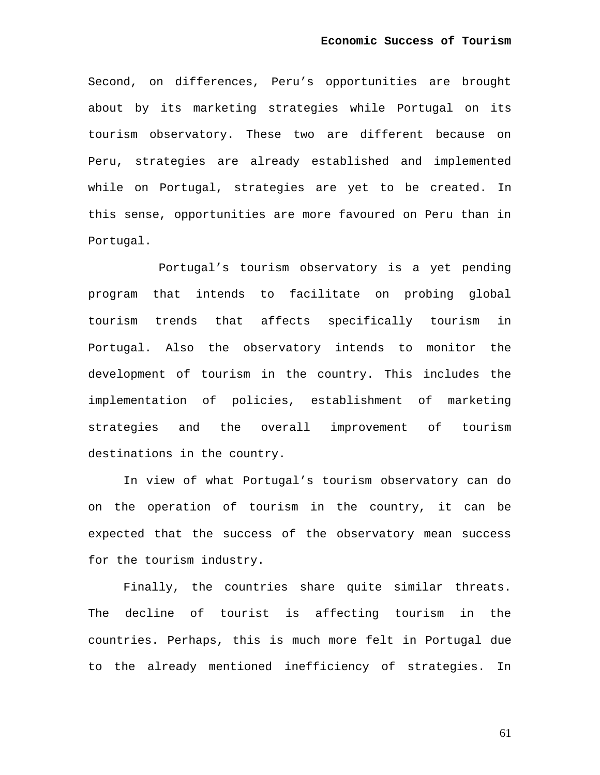Second, on differences, Peru's opportunities are brought about by its marketing strategies while Portugal on its tourism observatory. These two are different because on Peru, strategies are already established and implemented while on Portugal, strategies are yet to be created. In this sense, opportunities are more favoured on Peru than in Portugal.

Portugal's tourism observatory is a yet pending program that intends to facilitate on probing global tourism trends that affects specifically tourism in Portugal. Also the observatory intends to monitor the development of tourism in the country. This includes the implementation of policies, establishment of marketing strategies and the overall improvement of tourism destinations in the country.

In view of what Portugal's tourism observatory can do on the operation of tourism in the country, it can be expected that the success of the observatory mean success for the tourism industry.

Finally, the countries share quite similar threats. The decline of tourist is affecting tourism in the countries. Perhaps, this is much more felt in Portugal due to the already mentioned inefficiency of strategies. In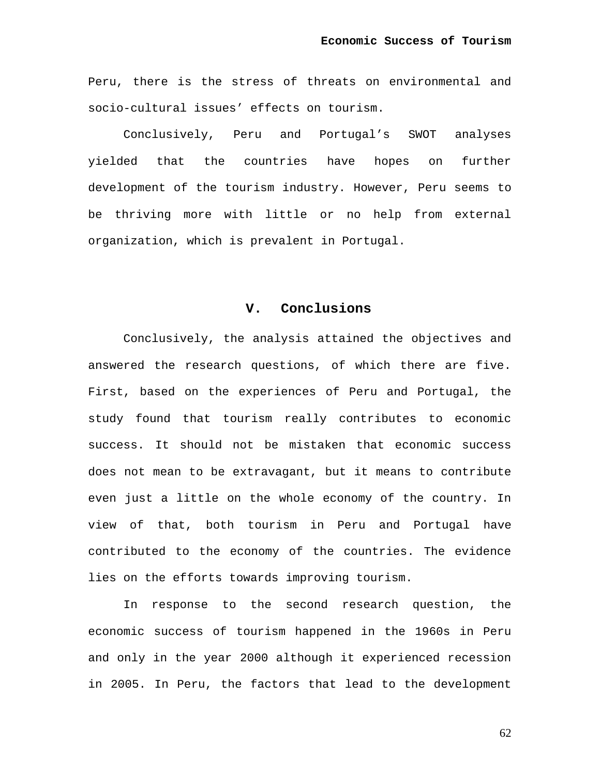Peru, there is the stress of threats on environmental and socio-cultural issues' effects on tourism.

Conclusively, Peru and Portugal's SWOT analyses yielded that the countries have hopes on further development of the tourism industry. However, Peru seems to be thriving more with little or no help from external organization, which is prevalent in Portugal.

## **V. Conclusions**

Conclusively, the analysis attained the objectives and answered the research questions, of which there are five. First, based on the experiences of Peru and Portugal, the study found that tourism really contributes to economic success. It should not be mistaken that economic success does not mean to be extravagant, but it means to contribute even just a little on the whole economy of the country. In view of that, both tourism in Peru and Portugal have contributed to the economy of the countries. The evidence lies on the efforts towards improving tourism.

In response to the second research question, the economic success of tourism happened in the 1960s in Peru and only in the year 2000 although it experienced recession in 2005. In Peru, the factors that lead to the development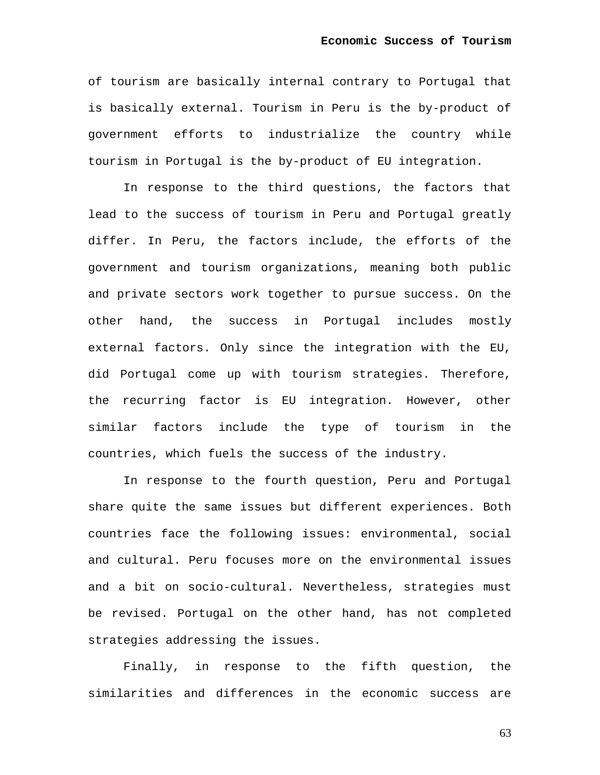of tourism are basically internal contrary to Portugal that is basically external. Tourism in Peru is the by-product of government efforts to industrialize the country while tourism in Portugal is the by-product of EU integration.

In response to the third questions, the factors that lead to the success of tourism in Peru and Portugal greatly differ. In Peru, the factors include, the efforts of the government and tourism organizations, meaning both public and private sectors work together to pursue success. On the other hand, the success in Portugal includes mostly external factors. Only since the integration with the EU, did Portugal come up with tourism strategies. Therefore, the recurring factor is EU integration. However, other similar factors include the type of tourism in the countries, which fuels the success of the industry.

In response to the fourth question, Peru and Portugal share quite the same issues but different experiences. Both countries face the following issues: environmental, social and cultural. Peru focuses more on the environmental issues and a bit on socio-cultural. Nevertheless, strategies must be revised. Portugal on the other hand, has not completed strategies addressing the issues.

Finally, in response to the fifth question, the similarities and differences in the economic success are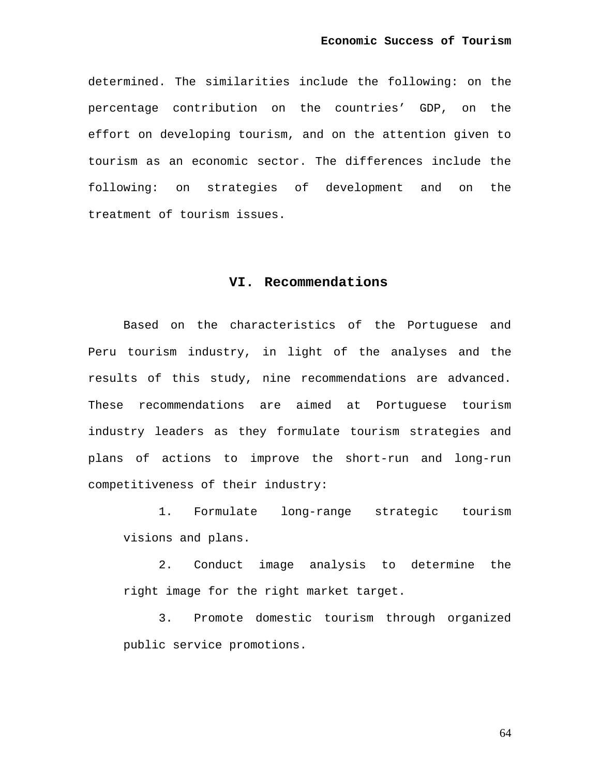determined. The similarities include the following: on the percentage contribution on the countries' GDP, on the effort on developing tourism, and on the attention given to tourism as an economic sector. The differences include the following: on strategies of development and on the treatment of tourism issues.

## **VI. Recommendations**

Based on the characteristics of the Portuguese and Peru tourism industry, in light of the analyses and the results of this study, nine recommendations are advanced. These recommendations are aimed at Portuguese tourism industry leaders as they formulate tourism strategies and plans of actions to improve the short-run and long-run competitiveness of their industry:

1. Formulate long-range strategic tourism visions and plans.

2. Conduct image analysis to determine the right image for the right market target.

3. Promote domestic tourism through organized public service promotions.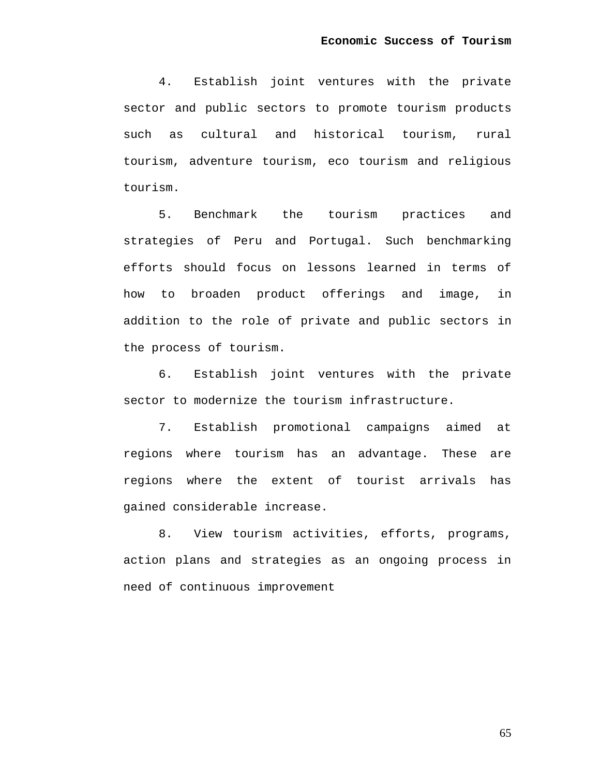4. Establish joint ventures with the private sector and public sectors to promote tourism products such as cultural and historical tourism, rural tourism, adventure tourism, eco tourism and religious tourism.

5. Benchmark the tourism practices and strategies of Peru and Portugal. Such benchmarking efforts should focus on lessons learned in terms of how to broaden product offerings and image, in addition to the role of private and public sectors in the process of tourism.

6. Establish joint ventures with the private sector to modernize the tourism infrastructure.

7. Establish promotional campaigns aimed at regions where tourism has an advantage. These are regions where the extent of tourist arrivals has gained considerable increase.

8. View tourism activities, efforts, programs, action plans and strategies as an ongoing process in need of continuous improvement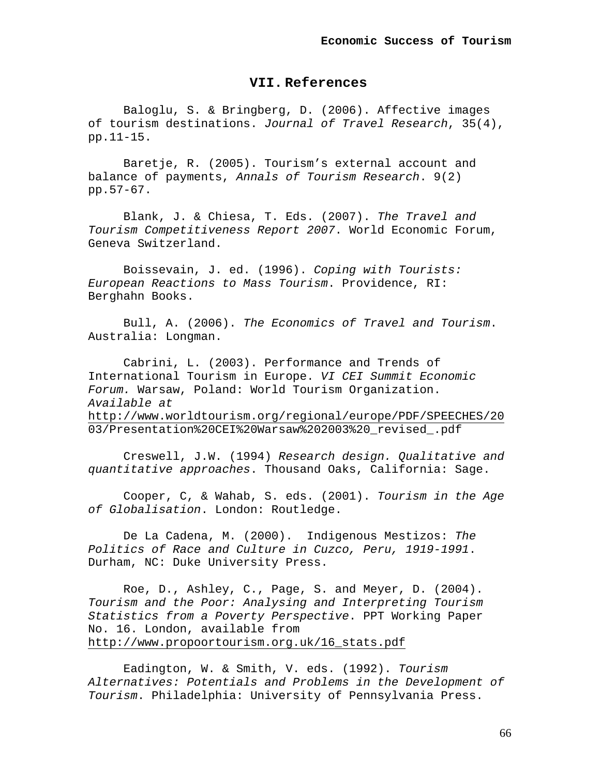## **VII. References**

Baloglu, S. & Bringberg, D. (2006). Affective images of tourism destinations. *Journal of Travel Research*, 35(4), pp.11-15.

Baretje, R. (2005). Tourism's external account and balance of payments, *Annals of Tourism Research*. 9(2) pp.57-67.

Blank, J. & Chiesa, T. Eds. (2007). *The Travel and Tourism Competitiveness Report 2007*. World Economic Forum, Geneva Switzerland.

Boissevain, J. ed. (1996). *Coping with Tourists: European Reactions to Mass Tourism*. Providence, RI: Berghahn Books.

Bull, A. (2006). *The Economics of Travel and Tourism*. Australia: Longman.

Cabrini, L. (2003). Performance and Trends of International Tourism in Europe. *VI CEI Summit Economic Forum.* Warsaw, Poland: World Tourism Organization. *Available at*  <http://www.worldtourism.org/regional/europe/PDF/SPEECHES/20> 03/Presentation%20CEI%20Warsaw%202003%20\_revised\_.pdf

Creswell, J.W. (1994) *Research design. Qualitative and quantitative approaches*. Thousand Oaks, California: Sage.

Cooper, C, & Wahab, S. eds. (2001). *Tourism in the Age of Globalisation*. London: Routledge.

De La Cadena, M. (2000). Indigenous Mestizos: *The Politics of Race and Culture in Cuzco, Peru, 1919-1991*. Durham, NC: Duke University Press.

Roe, D., Ashley, C., Page, S. and Meyer, D. (2004). *Tourism and the Poor: Analysing and Interpreting Tourism Statistics from a Poverty Perspective*. PPT Working Paper No. 16. London, available from [http://www.propoortourism.org.uk/16\\_stats.pdf](http://www.propoortourism.org.uk/16_stats.pdf)

Eadington, W. & Smith, V. eds. (1992). *Tourism Alternatives: Potentials and Problems in the Development of Tourism*. Philadelphia: University of Pennsylvania Press.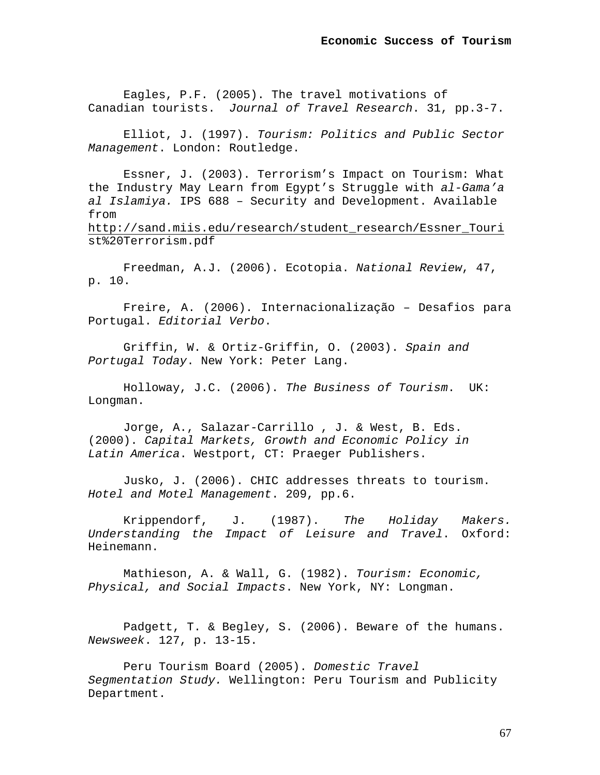Eagles, P.F. (2005). The travel motivations of Canadian tourists. *Journal of Travel Research*. 31, pp.3-7.

Elliot, J. (1997). *Tourism: Politics and Public Sector Management*. London: Routledge.

Essner, J. (2003). Terrorism's Impact on Tourism: What the Industry May Learn from Egypt's Struggle with *al-Gama'a al Islamiya.* IPS 688 – Security and Development. Available from [http://sand.miis.edu/research/student\\_research/Essner\\_Touri](http://sand.miis.edu/research/student_research/Essner_Touri) st%20Terrorism.pdf

Freedman, A.J. (2006). Ecotopia. *National Review*, 47, p. 10.

Freire, A. (2006). Internacionalização – Desafios para Portugal. *Editorial Verbo*.

Griffin, W. & Ortiz-Griffin, O. (2003). *Spain and Portugal Today*. New York: Peter Lang.

Holloway, J.C. (2006). *The Business of Tourism*. UK: Longman.

Jorge, A., Salazar-Carrillo , J. & West, B. Eds. (2000). *Capital Markets, Growth and Economic Policy in Latin America*. Westport, CT: Praeger Publishers.

Jusko, J. (2006). CHIC addresses threats to tourism. *Hotel and Motel Management*. 209, pp.6.

Krippendorf, J. (1987). *The Holiday Makers. Understanding the Impact of Leisure and Travel*. Oxford: Heinemann.

Mathieson, A. & Wall, G. (1982). *Tourism: Economic, Physical, and Social Impacts*. New York, NY: Longman.

Padgett, T. & Begley, S. (2006). Beware of the humans. *Newsweek*. 127, p. 13-15.

Peru Tourism Board (2005). *Domestic Travel Segmentation Study.* Wellington: Peru Tourism and Publicity Department.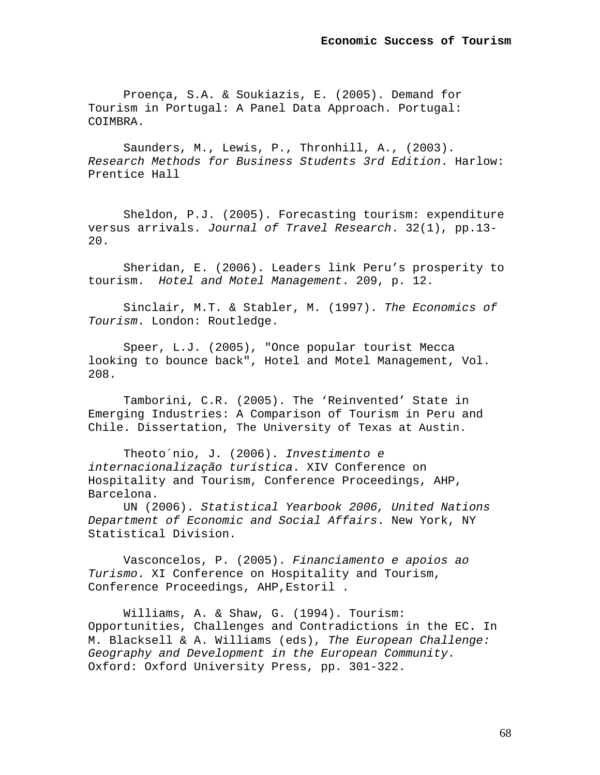Proença, S.A. & Soukiazis, E. (2005). Demand for Tourism in Portugal: A Panel Data Approach. Portugal: COIMBRA.

Saunders, M., Lewis, P., Thronhill, A., (2003). *Research Methods for Business Students 3rd Edition*. Harlow: Prentice Hall

Sheldon, P.J. (2005). Forecasting tourism: expenditure versus arrivals. *Journal of Travel Research*. 32(1), pp.13-  $20.$ 

Sheridan, E. (2006). Leaders link Peru's prosperity to tourism. *Hotel and Motel Management*. 209, p. 12.

Sinclair, M.T. & Stabler, M. (1997). *The Economics of Tourism*. London: Routledge.

Speer, L.J. (2005), "Once popular tourist Mecca looking to bounce back", Hotel and Motel Management, Vol. 208.

Tamborini, C.R. (2005). The 'Reinvented' State in Emerging Industries: A Comparison of Tourism in Peru and Chile. Dissertation, The University of Texas at Austin.

Theoto´nio, J. (2006). *Investimento e internacionalização turística*. XIV Conference on Hospitality and Tourism, Conference Proceedings, AHP, Barcelona.

UN (2006). *Statistical Yearbook 2006, United Nations Department of Economic and Social Affairs*. New York, NY Statistical Division.

Vasconcelos, P. (2005). *Financiamento e apoios ao Turismo*. XI Conference on Hospitality and Tourism, Conference Proceedings, AHP,Estoril .

Williams, A. & Shaw, G. (1994). Tourism: Opportunities, Challenges and Contradictions in the EC**.** In M. Blacksell & A. Williams (eds), *The European Challenge: Geography and Development in the European Community*. Oxford: Oxford University Press, pp. 301-322.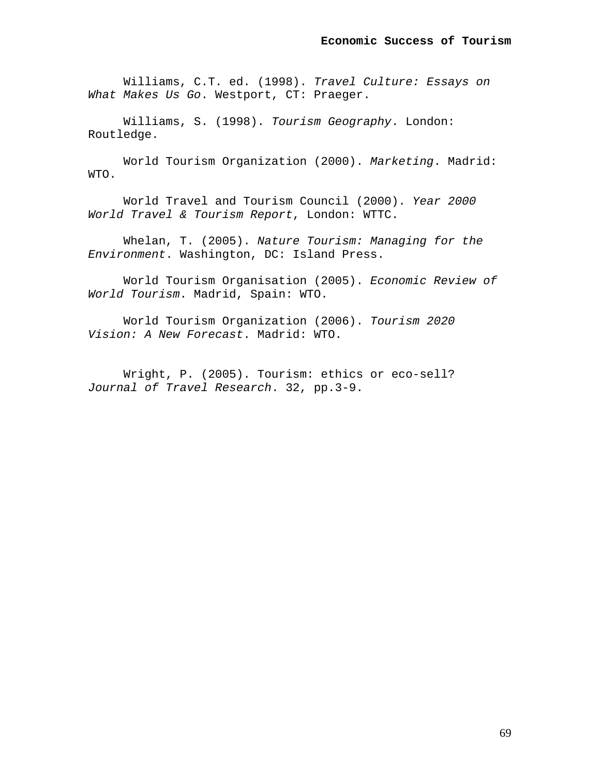Williams, C.T. ed. (1998). *Travel Culture: Essays on What Makes Us Go*. Westport, CT: Praeger.

Williams, S. (1998). *Tourism Geography*. London: Routledge.

World Tourism Organization (2000). *Marketing*. Madrid: WTO.

World Travel and Tourism Council (2000). *Year 2000 World Travel & Tourism Report*, London: WTTC.

Whelan, T. (2005). *Nature Tourism: Managing for the Environment*. Washington, DC: Island Press.

World Tourism Organisation (2005). *Economic Review of World Tourism*. Madrid, Spain: WTO.

World Tourism Organization (2006). *Tourism 2020 Vision: A New Forecast*. Madrid: WTO.

Wright, P. (2005). Tourism: ethics or eco-sell? *Journal of Travel Research*. 32, pp.3-9.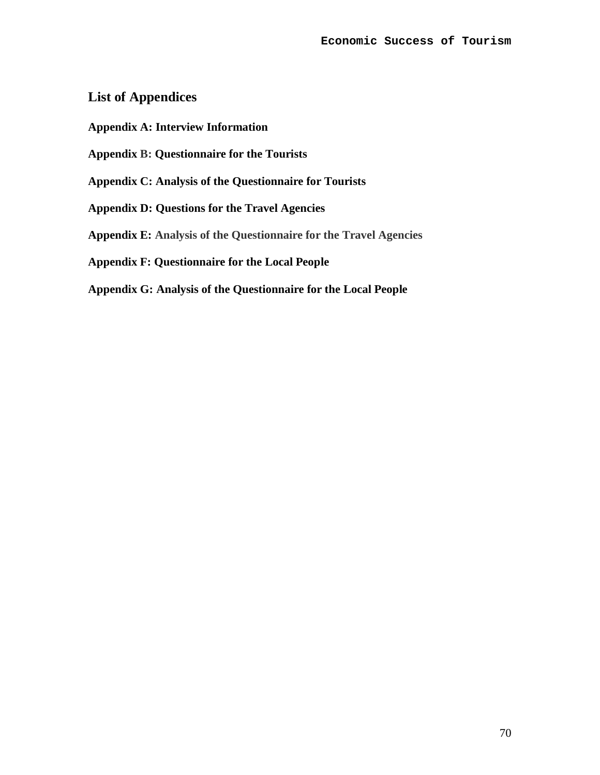# **List of Appendices**

- **Appendix A: Interview Information**
- **Appendix B: Questionnaire for the Tourists**
- **Appendix C: Analysis of the Questionnaire for Tourists**
- **Appendix D: Questions for the Travel Agencies**
- **Appendix E: Analysis of the Questionnaire for the Travel Agencies**
- **Appendix F: Questionnaire for the Local People**
- **Appendix G: Analysis of the Questionnaire for the Local People**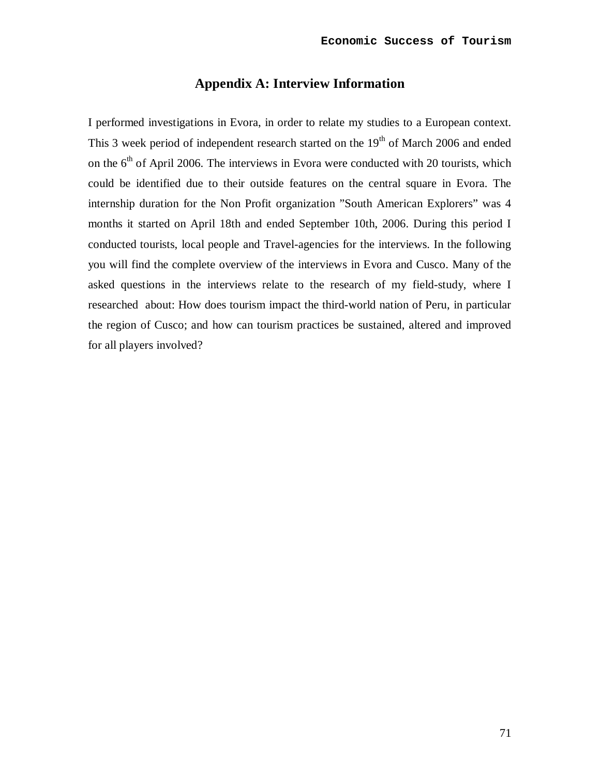# **Appendix A: Interview Information**

I performed investigations in Evora, in order to relate my studies to a European context. This 3 week period of independent research started on the  $19<sup>th</sup>$  of March 2006 and ended on the  $6<sup>th</sup>$  of April 2006. The interviews in Evora were conducted with 20 tourists, which could be identified due to their outside features on the central square in Evora. The internship duration for the Non Profit organization "South American Explorers" was 4 months it started on April 18th and ended September 10th, 2006. During this period I conducted tourists, local people and Travel-agencies for the interviews. In the following you will find the complete overview of the interviews in Evora and Cusco. Many of the asked questions in the interviews relate to the research of my field-study, where I researched about: How does tourism impact the third-world nation of Peru, in particular the region of Cusco; and how can tourism practices be sustained, altered and improved for all players involved?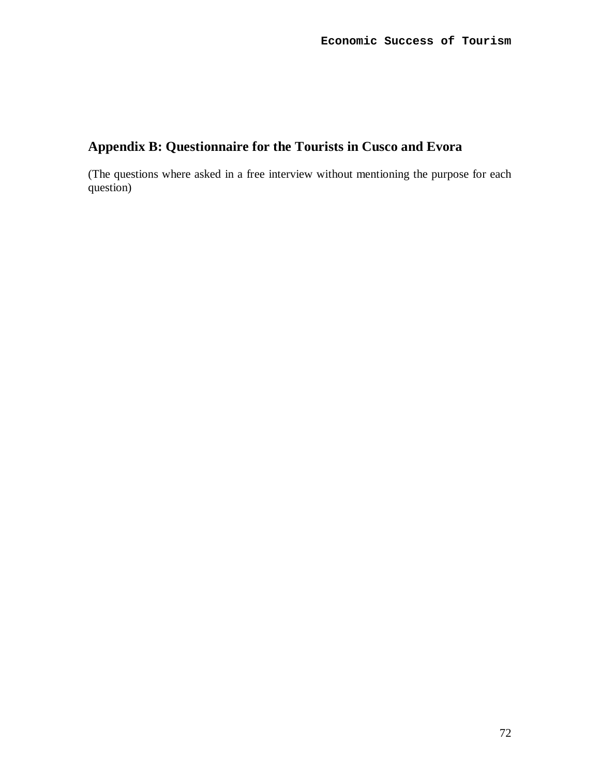# **Appendix B: Questionnaire for the Tourists in Cusco and Evora**

(The questions where asked in a free interview without mentioning the purpose for each question)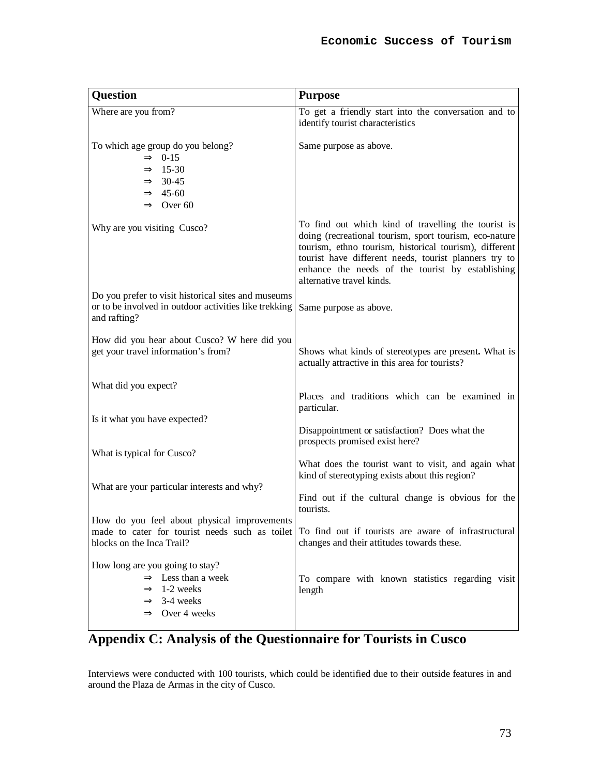| <b>Question</b>                                                                                                                                       | <b>Purpose</b>                                                                                                                                                                                                                                                                                                    |
|-------------------------------------------------------------------------------------------------------------------------------------------------------|-------------------------------------------------------------------------------------------------------------------------------------------------------------------------------------------------------------------------------------------------------------------------------------------------------------------|
| Where are you from?                                                                                                                                   | To get a friendly start into the conversation and to<br>identify tourist characteristics                                                                                                                                                                                                                          |
| To which age group do you belong?<br>$\Rightarrow$ 0-15<br>$\Rightarrow$ 15-30<br>$\Rightarrow$ 30-45<br>$\Rightarrow$ 45-60<br>$\Rightarrow$ Over 60 | Same purpose as above.                                                                                                                                                                                                                                                                                            |
| Why are you visiting Cusco?                                                                                                                           | To find out which kind of travelling the tourist is<br>doing (recreational tourism, sport tourism, eco-nature<br>tourism, ethno tourism, historical tourism), different<br>tourist have different needs, tourist planners try to<br>enhance the needs of the tourist by establishing<br>alternative travel kinds. |
| Do you prefer to visit historical sites and museums<br>or to be involved in outdoor activities like trekking<br>and rafting?                          | Same purpose as above.                                                                                                                                                                                                                                                                                            |
| How did you hear about Cusco? W here did you<br>get your travel information's from?                                                                   | Shows what kinds of stereotypes are present. What is<br>actually attractive in this area for tourists?                                                                                                                                                                                                            |
| What did you expect?                                                                                                                                  | Places and traditions which can be examined in<br>particular.                                                                                                                                                                                                                                                     |
| Is it what you have expected?                                                                                                                         | Disappointment or satisfaction? Does what the<br>prospects promised exist here?                                                                                                                                                                                                                                   |
| What is typical for Cusco?                                                                                                                            | What does the tourist want to visit, and again what<br>kind of stereotyping exists about this region?                                                                                                                                                                                                             |
| What are your particular interests and why?                                                                                                           | Find out if the cultural change is obvious for the<br>tourists.                                                                                                                                                                                                                                                   |
| How do you feel about physical improvements<br>blocks on the Inca Trail?                                                                              | made to cater for tourist needs such as toilet To find out if tourists are aware of infrastructural<br>changes and their attitudes towards these.                                                                                                                                                                 |
| How long are you going to stay?<br>$\Rightarrow$ Less than a week<br>$\Rightarrow$ 1-2 weeks<br>$\Rightarrow$ 3-4 weeks<br>$\Rightarrow$ Over 4 weeks | To compare with known statistics regarding visit<br>length                                                                                                                                                                                                                                                        |

# **Appendix C: Analysis of the Questionnaire for Tourists in Cusco**

Interviews were conducted with 100 tourists, which could be identified due to their outside features in and around the Plaza de Armas in the city of Cusco.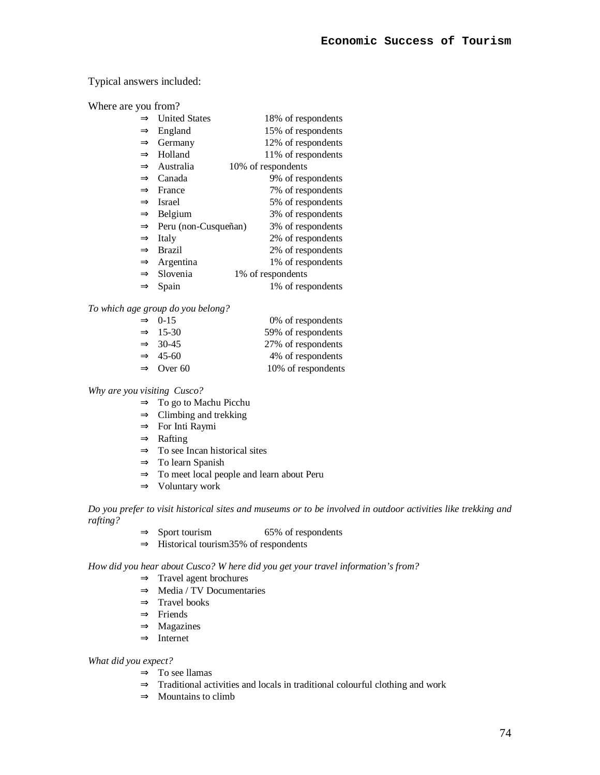# Typical answers included:

Where are you from?

|               | $\Rightarrow$ United States        | 18% of respondents |
|---------------|------------------------------------|--------------------|
|               |                                    |                    |
| $\Rightarrow$ | England                            | 15% of respondents |
| $\Rightarrow$ | Germany                            | 12% of respondents |
| $\Rightarrow$ | Holland                            | 11% of respondents |
|               | $\Rightarrow$ Australia            | 10% of respondents |
|               | $\Rightarrow$ Canada               | 9% of respondents  |
|               | $\Rightarrow$ France               | 7% of respondents  |
|               | $\Rightarrow$ Israel               | 5% of respondents  |
|               | $\Rightarrow$ Belgium              | 3% of respondents  |
|               | $\Rightarrow$ Peru (non-Cusqueñan) | 3% of respondents  |
| $\Rightarrow$ | Italy                              | 2% of respondents  |
| $\Rightarrow$ | Brazil                             | 2% of respondents  |
|               | $\Rightarrow$ Argentina            | 1% of respondents  |
|               | $\Rightarrow$ Slovenia             | 1% of respondents  |
| $\Rightarrow$ | Spain                              | 1% of respondents  |

*To which age group do you belong?* 

| $\Rightarrow$ 0-15    | 0% of respondents  |
|-----------------------|--------------------|
| $\Rightarrow$ 15-30   | 59% of respondents |
| $\Rightarrow$ 30-45   | 27% of respondents |
| $\Rightarrow$ 45-60   | 4% of respondents  |
| $\Rightarrow$ Over 60 | 10% of respondents |

*Why are you visiting Cusco?* 

- ⇒ To go to Machu Picchu
- $\Rightarrow$  Climbing and trekking
- ⇒ For Inti Raymi
- ⇒ Rafting
- ⇒ To see Incan historical sites
- $\Rightarrow$  To learn Spanish
- ⇒ To meet local people and learn about Peru
- ⇒ Voluntary work

Do you prefer to visit historical sites and museums or to be involved in outdoor activities like trekking and *rafting?* 

- $\Rightarrow$  Sport tourism 65% of respondents
- ⇒ Historical tourism35% of respondents

*How did you hear about Cusco? W here did you get your travel information's from?* 

- ⇒ Travel agent brochures
- ⇒ Media / TV Documentaries
- $\Rightarrow$  Travel books
- ⇒ Friends
- ⇒ Magazines
- ⇒ Internet

*What did you expect?* 

- ⇒ To see llamas
- $\Rightarrow$  Traditional activities and locals in traditional colourful clothing and work
- $\Rightarrow$  Mountains to climb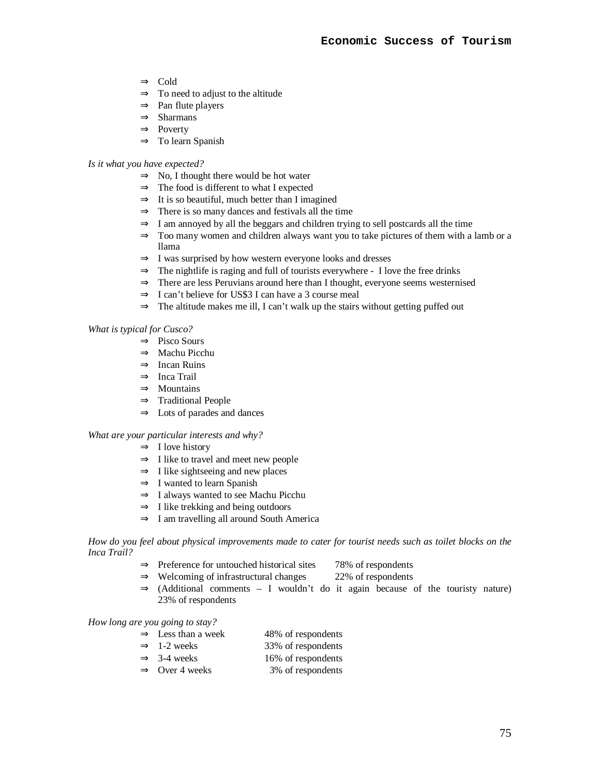- ⇒ Cold
- $\Rightarrow$  To need to adjust to the altitude
- $\Rightarrow$  Pan flute players
- ⇒ Sharmans
- ⇒ Poverty
- $\Rightarrow$  To learn Spanish

### *Is it what you have expected?*

- $\Rightarrow$  No, I thought there would be hot water
- ⇒ The food is different to what I expected
- $\Rightarrow$  It is so beautiful, much better than I imagined
- $\Rightarrow$  There is so many dances and festivals all the time
- $\Rightarrow$  I am annoyed by all the beggars and children trying to sell postcards all the time
- $\Rightarrow$  Too many women and children always want you to take pictures of them with a lamb or a llama
- ⇒ I was surprised by how western everyone looks and dresses
- $\Rightarrow$  The nightlife is raging and full of tourists everywhere I love the free drinks
- ⇒ There are less Peruvians around here than I thought, everyone seems westernised
- $\Rightarrow$  I can't believe for US\$3 I can have a 3 course meal
- $\Rightarrow$  The altitude makes me ill, I can't walk up the stairs without getting puffed out

# *What is typical for Cusco?*

- ⇒ Pisco Sours
- ⇒ Machu Picchu
- ⇒ Incan Ruins
- ⇒ Inca Trail
- ⇒ Mountains
- ⇒ Traditional People
- $\Rightarrow$  Lots of parades and dances

## *What are your particular interests and why?*

- $\Rightarrow$  I love history
- $\Rightarrow$  I like to travel and meet new people
- $\Rightarrow$  I like sightseeing and new places
- ⇒ I wanted to learn Spanish
- ⇒ I always wanted to see Machu Picchu
- $\Rightarrow$  I like trekking and being outdoors
- $\Rightarrow$  I am travelling all around South America

How do you feel about physical improvements made to cater for tourist needs such as toilet blocks on the *Inca Trail?* 

- ⇒ Preference for untouched historical sites 78% of respondents
- $\Rightarrow$  Welcoming of infrastructural changes 22% of respondents
- $\Rightarrow$  (Additional comments I wouldn't do it again because of the touristy nature) 23% of respondents

*How long are you going to stay?* 

- $\Rightarrow$  Less than a week 48% of respondents
- $\Rightarrow$  1-2 weeks 33% of respondents
- $\Rightarrow$  3-4 weeks 16% of respondents
- $\Rightarrow$  Over 4 weeks 3% of respondents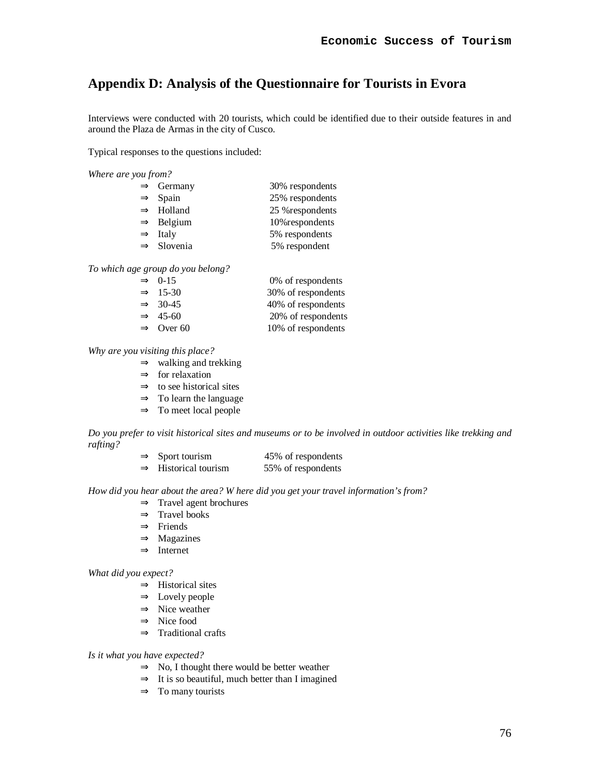# **Appendix D: Analysis of the Questionnaire for Tourists in Evora**

Interviews were conducted with 20 tourists, which could be identified due to their outside features in and around the Plaza de Armas in the city of Cusco.

Typical responses to the questions included:

*Where are you from?* 

| $\Rightarrow$ Germany  | 30% respondents  |
|------------------------|------------------|
| $\Rightarrow$ Spain    | 25% respondents  |
| $\Rightarrow$ Holland  | 25 % respondents |
| $\Rightarrow$ Belgium  | 10% respondents  |
| $\Rightarrow$ Italy    | 5% respondents   |
| $\Rightarrow$ Slovenia | 5% respondent    |
|                        |                  |

*To which age group do you belong?* 

| $\Rightarrow$ 0-15    | 0% of respondents  |
|-----------------------|--------------------|
| $\Rightarrow$ 15-30   | 30% of respondents |
| $\Rightarrow$ 30-45   | 40% of respondents |
| $\Rightarrow$ 45-60   | 20% of respondents |
| $\Rightarrow$ Over 60 | 10% of respondents |

### *Why are you visiting this place?*

- $\Rightarrow$  walking and trekking
- $\Rightarrow$  for relaxation
- $\Rightarrow$  to see historical sites
- ⇒ To learn the language
- $\Rightarrow$  To meet local people

Do you prefer to visit historical sites and museums or to be involved in outdoor activities like trekking and *rafting?* 

> $\Rightarrow$  Sport tourism 45% of respondents  $\Rightarrow$  Historical tourism 55% of respondents

*How did you hear about the area? W here did you get your travel information's from?* 

- $\Rightarrow$  Travel agent brochures
- ⇒ Travel books
- ⇒ Friends
- ⇒ Magazines
- ⇒ Internet

*What did you expect?* 

- $\Rightarrow$  Historical sites
- ⇒ Lovely people
- $\Rightarrow$  Nice weather
- ⇒ Nice food
- $\Rightarrow$  Traditional crafts

*Is it what you have expected?* 

- ⇒ No, I thought there would be better weather
- $\Rightarrow$  It is so beautiful, much better than I imagined
- $\Rightarrow$  To many tourists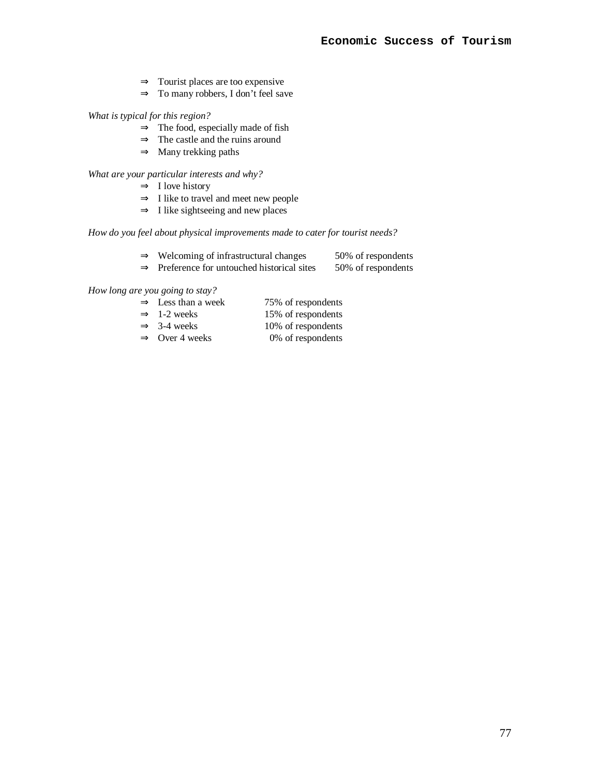- $\Rightarrow$  Tourist places are too expensive
- ⇒ To many robbers, I don't feel save

*What is typical for this region?* 

- $\Rightarrow$  The food, especially made of fish
- $\Rightarrow$  The castle and the ruins around
- ⇒ Many trekking paths

*What are your particular interests and why?* 

- $\Rightarrow$  I love history
- ⇒ I like to travel and meet new people
- $\Rightarrow$  I like sightseeing and new places

# *How do you feel about physical improvements made to cater for tourist needs?*

- ⇒ Welcoming of infrastructural changes 50% of respondents
- $\Rightarrow$  Preference for untouched historical sites 50% of respondents

*How long are you going to stay?* 

- $\Rightarrow$  Less than a week 75% of respondents  $\Rightarrow$  1-2 weeks 15% of respondents
- $\Rightarrow$  3-4 weeks 10% of respondents
- 
- $\Rightarrow$  Over 4 weeks 0% of respondents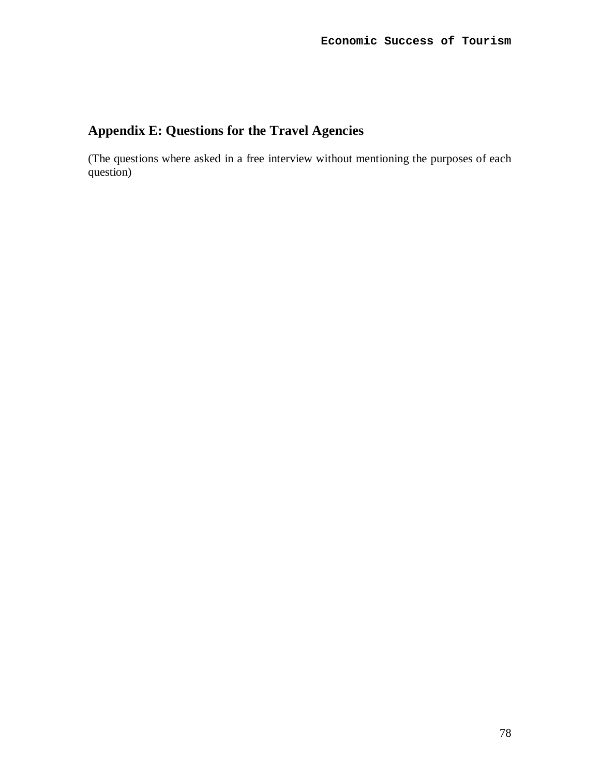# **Appendix E: Questions for the Travel Agencies**

(The questions where asked in a free interview without mentioning the purposes of each question)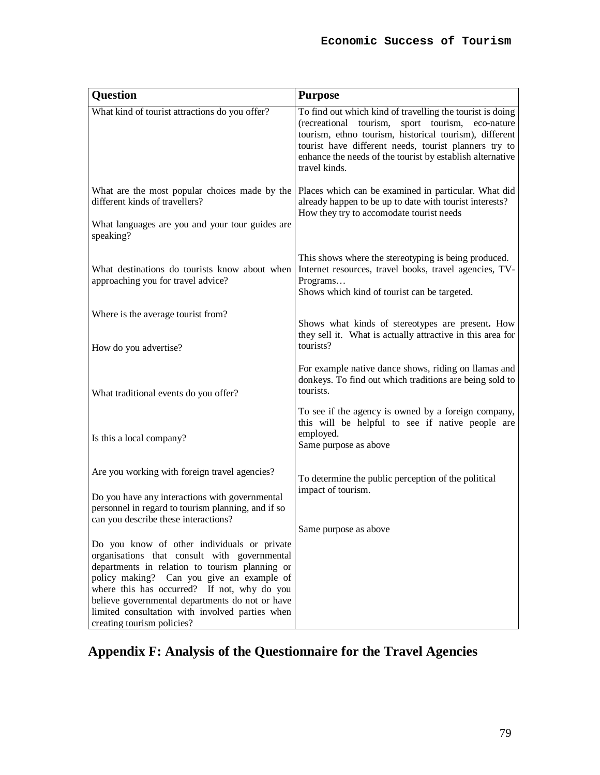| <b>Question</b>                                                                                                                                                                                                                                                                                                                                                               | <b>Purpose</b>                                                                                                                                                                                                                                                                                                          |
|-------------------------------------------------------------------------------------------------------------------------------------------------------------------------------------------------------------------------------------------------------------------------------------------------------------------------------------------------------------------------------|-------------------------------------------------------------------------------------------------------------------------------------------------------------------------------------------------------------------------------------------------------------------------------------------------------------------------|
| What kind of tourist attractions do you offer?                                                                                                                                                                                                                                                                                                                                | To find out which kind of travelling the tourist is doing<br>(recreational<br>tourism,<br>sport tourism,<br>eco-nature<br>tourism, ethno tourism, historical tourism), different<br>tourist have different needs, tourist planners try to<br>enhance the needs of the tourist by establish alternative<br>travel kinds. |
| What are the most popular choices made by the<br>different kinds of travellers?<br>What languages are you and your tour guides are<br>speaking?                                                                                                                                                                                                                               | Places which can be examined in particular. What did<br>already happen to be up to date with tourist interests?<br>How they try to accomodate tourist needs                                                                                                                                                             |
| What destinations do tourists know about when<br>approaching you for travel advice?                                                                                                                                                                                                                                                                                           | This shows where the stereotyping is being produced.<br>Internet resources, travel books, travel agencies, TV-<br>Programs<br>Shows which kind of tourist can be targeted.                                                                                                                                              |
| Where is the average tourist from?                                                                                                                                                                                                                                                                                                                                            |                                                                                                                                                                                                                                                                                                                         |
| How do you advertise?                                                                                                                                                                                                                                                                                                                                                         | Shows what kinds of stereotypes are present. How<br>they sell it. What is actually attractive in this area for<br>tourists?                                                                                                                                                                                             |
| What traditional events do you offer?                                                                                                                                                                                                                                                                                                                                         | For example native dance shows, riding on Ilamas and<br>donkeys. To find out which traditions are being sold to<br>tourists.                                                                                                                                                                                            |
| Is this a local company?                                                                                                                                                                                                                                                                                                                                                      | To see if the agency is owned by a foreign company,<br>this will be helpful to see if native people are<br>employed.<br>Same purpose as above                                                                                                                                                                           |
| Are you working with foreign travel agencies?                                                                                                                                                                                                                                                                                                                                 | To determine the public perception of the political                                                                                                                                                                                                                                                                     |
| Do you have any interactions with governmental<br>personnel in regard to tourism planning, and if so<br>can you describe these interactions?                                                                                                                                                                                                                                  | impact of tourism.<br>Same purpose as above                                                                                                                                                                                                                                                                             |
| Do you know of other individuals or private<br>organisations that consult with governmental<br>departments in relation to tourism planning or<br>policy making? Can you give an example of<br>where this has occurred? If not, why do you<br>believe governmental departments do not or have<br>limited consultation with involved parties when<br>creating tourism policies? |                                                                                                                                                                                                                                                                                                                         |

# **Appendix F: Analysis of the Questionnaire for the Travel Agencies**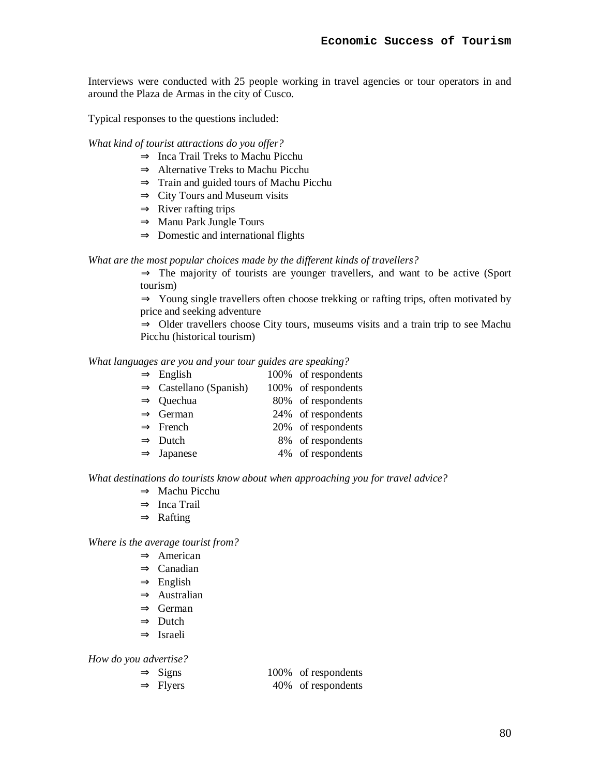Interviews were conducted with 25 people working in travel agencies or tour operators in and around the Plaza de Armas in the city of Cusco.

Typical responses to the questions included:

# *What kind of tourist attractions do you offer?*

- ⇒ Inca Trail Treks to Machu Picchu
- ⇒ Alternative Treks to Machu Picchu
- $\Rightarrow$  Train and guided tours of Machu Picchu
- $\Rightarrow$  City Tours and Museum visits
- $\Rightarrow$  River rafting trips
- ⇒ Manu Park Jungle Tours
- $\Rightarrow$  Domestic and international flights

# *What are the most popular choices made by the different kinds of travellers?*

 $\Rightarrow$  The majority of tourists are younger travellers, and want to be active (Sport tourism)

⇒ Young single travellers often choose trekking or rafting trips, often motivated by price and seeking adventure

⇒ Older travellers choose City tours, museums visits and a train trip to see Machu Picchu (historical tourism)

*What languages are you and your tour guides are speaking?* 

| $\Rightarrow$ English              | 100% of respondents |
|------------------------------------|---------------------|
| $\Rightarrow$ Castellano (Spanish) | 100% of respondents |
| $\Rightarrow$ Quechua              | 80% of respondents  |
| $\Rightarrow$ German               | 24% of respondents  |
| $\Rightarrow$ French               | 20% of respondents  |
| $\Rightarrow$ Dutch                | 8% of respondents   |
| $\Rightarrow$ Japanese             | 4% of respondents   |
|                                    |                     |

*What destinations do tourists know about when approaching you for travel advice?* 

- ⇒ Machu Picchu
- ⇒ Inca Trail
- ⇒ Rafting

*Where is the average tourist from?* 

- ⇒ American
- ⇒ Canadian
- $\Rightarrow$  English
- ⇒ Australian
- ⇒ German
- ⇒ Dutch
- ⇒ Israeli

*How do you advertise?* 

| $\Rightarrow$ Signs  | 100% of respondents |
|----------------------|---------------------|
| $\Rightarrow$ Flyers | 40% of respondents  |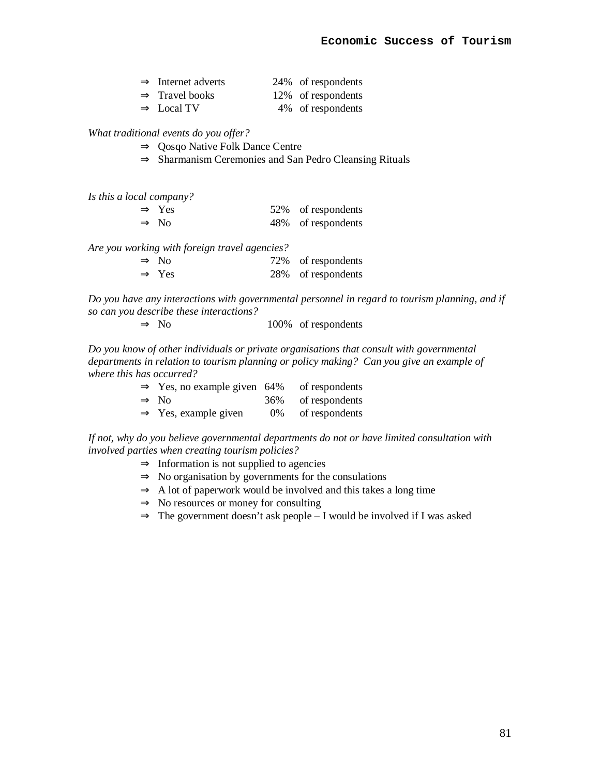| $\Rightarrow$ Internet adverts | 24% of respondents |
|--------------------------------|--------------------|
| $\Rightarrow$ Travel books     | 12% of respondents |
| $\Rightarrow$ Local TV         | 4\% of respondents |

*What traditional events do you offer?* 

- ⇒ Qosqo Native Folk Dance Centre
- ⇒ Sharmanism Ceremonies and San Pedro Cleansing Rituals

*Is this a local company?* 

| $\Rightarrow$ Yes | 52% of respondents |
|-------------------|--------------------|
| $\Rightarrow$ No  | 48% of respondents |

*Are you working with foreign travel agencies?* 

| $\Rightarrow$ No  | 72% of respondents |
|-------------------|--------------------|
| $\Rightarrow$ Yes | 28% of respondents |

*Do you have any interactions with governmental personnel in regard to tourism planning, and if so can you describe these interactions?* 

 $\Rightarrow$  No  $100\%$  of respondents

*Do you know of other individuals or private organisations that consult with governmental departments in relation to tourism planning or policy making? Can you give an example of where this has occurred?* 

| $\Rightarrow$ Yes, no example given 64% of respondents |                    |
|--------------------------------------------------------|--------------------|
| $\Rightarrow$ No                                       | 36% of respondents |
| $\Rightarrow$ Yes, example given                       | 0% of respondents  |

*If not, why do you believe governmental departments do not or have limited consultation with involved parties when creating tourism policies?* 

- $\Rightarrow$  Information is not supplied to agencies
- $\Rightarrow$  No organisation by governments for the consulations
- $\Rightarrow$  A lot of paperwork would be involved and this takes a long time
- $\Rightarrow$  No resources or money for consulting
- ⇒ The government doesn't ask people I would be involved if I was asked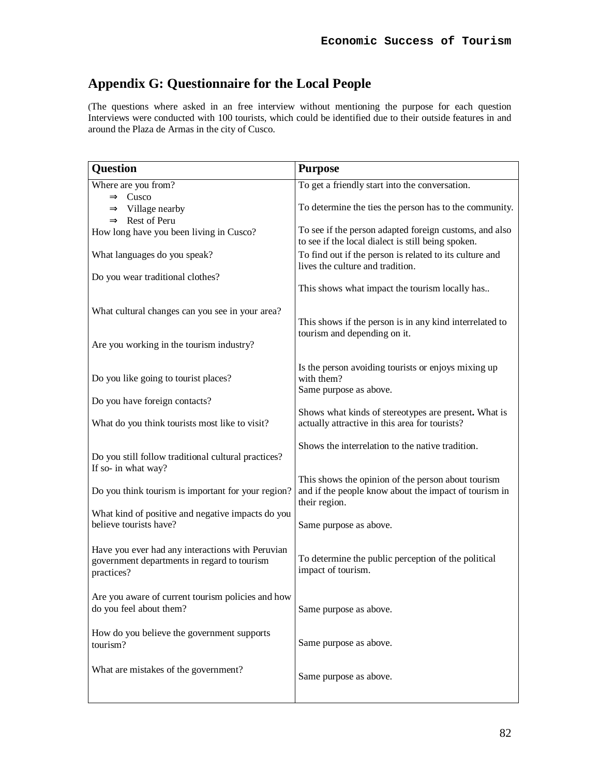# **Appendix G: Questionnaire for the Local People**

(The questions where asked in an free interview without mentioning the purpose for each question Interviews were conducted with 100 tourists, which could be identified due to their outside features in and around the Plaza de Armas in the city of Cusco.

| <b>Question</b>                                                                                               | <b>Purpose</b>                                                                                                               |
|---------------------------------------------------------------------------------------------------------------|------------------------------------------------------------------------------------------------------------------------------|
| Where are you from?                                                                                           | To get a friendly start into the conversation.                                                                               |
| $\Rightarrow$ Cusco                                                                                           | To determine the ties the person has to the community.                                                                       |
| $\Rightarrow$ Village nearby<br>$\Rightarrow$ Rest of Peru                                                    |                                                                                                                              |
| How long have you been living in Cusco?                                                                       | To see if the person adapted foreign customs, and also<br>to see if the local dialect is still being spoken.                 |
| What languages do you speak?                                                                                  | To find out if the person is related to its culture and<br>lives the culture and tradition.                                  |
| Do you wear traditional clothes?                                                                              | This shows what impact the tourism locally has                                                                               |
| What cultural changes can you see in your area?                                                               | This shows if the person is in any kind interrelated to                                                                      |
| Are you working in the tourism industry?                                                                      | tourism and depending on it.                                                                                                 |
| Do you like going to tourist places?                                                                          | Is the person avoiding tourists or enjoys mixing up<br>with them?<br>Same purpose as above.                                  |
| Do you have foreign contacts?                                                                                 |                                                                                                                              |
| What do you think tourists most like to visit?                                                                | Shows what kinds of stereotypes are present. What is<br>actually attractive in this area for tourists?                       |
| Do you still follow traditional cultural practices?<br>If so- in what way?                                    | Shows the interrelation to the native tradition.                                                                             |
| Do you think tourism is important for your region?                                                            | This shows the opinion of the person about tourism<br>and if the people know about the impact of tourism in<br>their region. |
| What kind of positive and negative impacts do you<br>believe tourists have?                                   | Same purpose as above.                                                                                                       |
| Have you ever had any interactions with Peruvian<br>government departments in regard to tourism<br>practices? | To determine the public perception of the political<br>impact of tourism.                                                    |
| Are you aware of current tourism policies and how<br>do you feel about them?                                  | Same purpose as above.                                                                                                       |
| How do you believe the government supports<br>tourism?                                                        | Same purpose as above.                                                                                                       |
| What are mistakes of the government?                                                                          | Same purpose as above.                                                                                                       |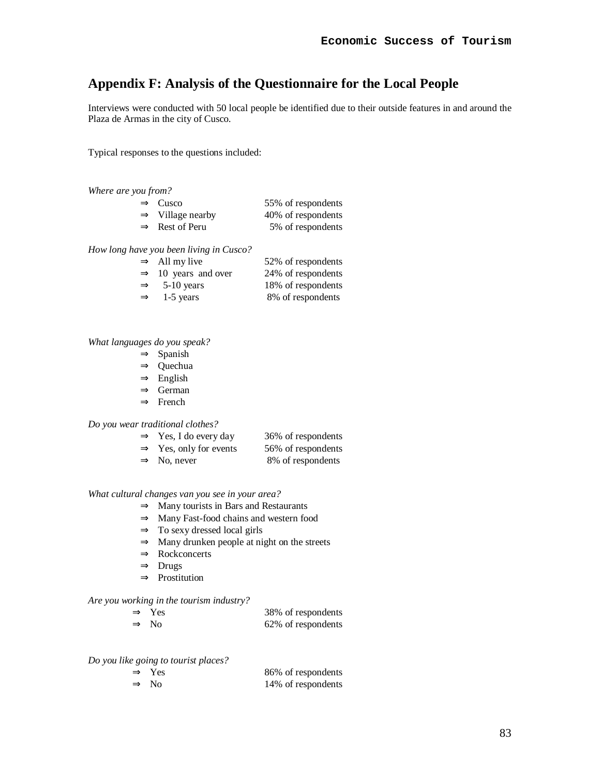# **Appendix F: Analysis of the Questionnaire for the Local People**

Interviews were conducted with 50 local people be identified due to their outside features in and around the Plaza de Armas in the city of Cusco.

Typical responses to the questions included:

| Where are you from?          |                    |  |  |
|------------------------------|--------------------|--|--|
| $\Rightarrow$ Cusco          | 55% of respondents |  |  |
| $\Rightarrow$ Village nearby | 40% of respondents |  |  |
| $\Rightarrow$ Rest of Peru   | 5% of respondents  |  |  |
|                              |                    |  |  |

*How long have you been living in Cusco?* 

| $\Rightarrow$ All my live       | 52% of respondents |
|---------------------------------|--------------------|
| $\Rightarrow$ 10 years and over | 24% of respondents |
| $\Rightarrow$ 5-10 years        | 18% of respondents |
| $\Rightarrow$ 1-5 years         | 8% of respondents  |

*What languages do you speak?* 

- ⇒ Spanish
- ⇒ Quechua
- $\Rightarrow$  English
- ⇒ German
- ⇒ French

*Do you wear traditional clothes?* 

| $\Rightarrow$ Yes, I do every day  | 36% of respondents |
|------------------------------------|--------------------|
| $\Rightarrow$ Yes, only for events | 56% of respondents |
| $\Rightarrow$ No, never            | 8% of respondents  |

# *What cultural changes van you see in your area?*

- $\Rightarrow$  Many tourists in Bars and Restaurants
- ⇒ Many Fast-food chains and western food
- $\Rightarrow$  To sexy dressed local girls
- ⇒ Many drunken people at night on the streets
- ⇒ Rockconcerts
- ⇒ Drugs
- ⇒ Prostitution

### *Are you working in the tourism industry?*

| $\Rightarrow$ Yes | 38% of respondents |
|-------------------|--------------------|
| $\Rightarrow$ No  | 62% of respondents |

### *Do you like going to tourist places?*

| $\Rightarrow$ Yes | 86% of respondents |
|-------------------|--------------------|
| $\Rightarrow$ No  | 14% of respondents |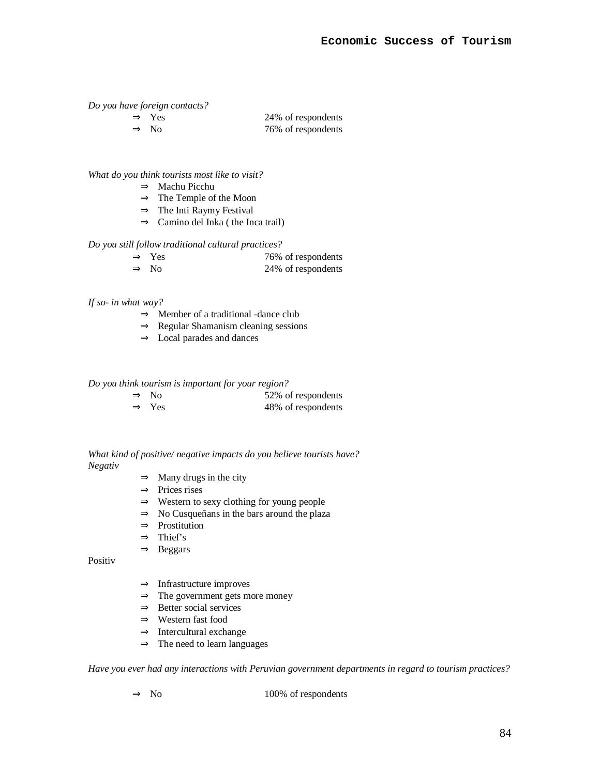*Do you have foreign contacts?* 

| $\Rightarrow$ Yes | 24% of respondents |
|-------------------|--------------------|
| $\Rightarrow$ No  | 76% of respondents |

*What do you think tourists most like to visit?* 

- ⇒ Machu Picchu
- $\Rightarrow$  The Temple of the Moon
- ⇒ The Inti Raymy Festival
- $\Rightarrow$  Camino del Inka ( the Inca trail)

*Do you still follow traditional cultural practices?* 

| $\Rightarrow$ Yes | 76% of respondents |
|-------------------|--------------------|
| $\Rightarrow$ No  | 24% of respondents |

## *If so- in what way?*

- $\Rightarrow$  Member of a traditional -dance club
- ⇒ Regular Shamanism cleaning sessions
- $\Rightarrow$  Local parades and dances

*Do you think tourism is important for your region?* 

| $\Rightarrow$ No  | 52% of respondents |
|-------------------|--------------------|
| $\Rightarrow$ Yes | 48% of respondents |

*What kind of positive/ negative impacts do you believe tourists have? Negativ* 

- $\Rightarrow$  Many drugs in the city
- ⇒ Prices rises
- ⇒ Western to sexy clothing for young people
- ⇒ No Cusqueñans in the bars around the plaza
- ⇒ Prostitution
- $\Rightarrow$  Thief's
- ⇒ Beggars

Positiv

- ⇒ Infrastructure improves
- $\Rightarrow$  The government gets more money
- $\Rightarrow$  Better social services
- ⇒ Western fast food
- $\Rightarrow$  Intercultural exchange
- ⇒ The need to learn languages

*Have you ever had any interactions with Peruvian government departments in regard to tourism practices?*